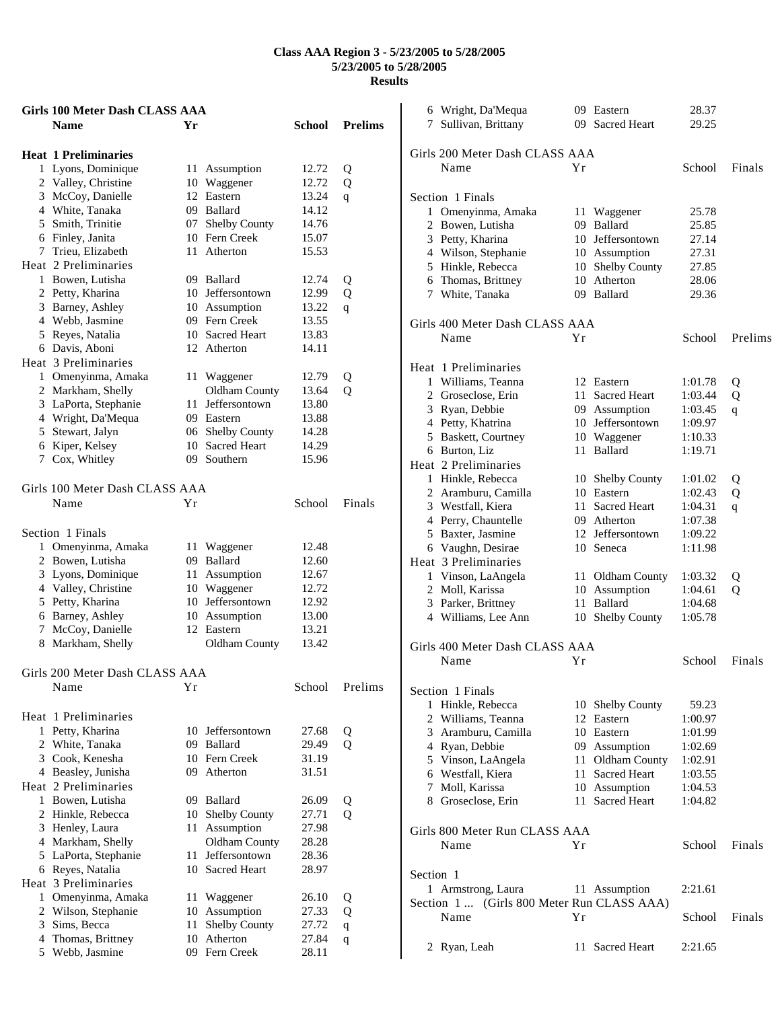|   | Girls 100 Meter Dash CLASS AAA         |    |                      |        |                |
|---|----------------------------------------|----|----------------------|--------|----------------|
|   | <b>Name</b>                            | Yr |                      | School | <b>Prelims</b> |
|   | <b>Heat 1 Preliminaries</b>            |    |                      |        |                |
| 1 | Lyons, Dominique                       |    | 11 Assumption        | 12.72  | Q              |
|   | 2 Valley, Christine                    |    | 10 Waggener          | 12.72  | Q              |
|   | 3 McCoy, Danielle                      | 12 | Eastern              | 13.24  | q              |
|   | 4 White, Tanaka                        |    | 09 Ballard           | 14.12  |                |
|   | 5 Smith, Trinitie                      | 07 | Shelby County        | 14.76  |                |
|   | 6 Finley, Janita                       |    | 10 Fern Creek        | 15.07  |                |
|   | 7 Trieu, Elizabeth                     | 11 | Atherton             | 15.53  |                |
|   | Heat 2 Preliminaries                   |    |                      |        |                |
|   | 1 Bowen, Lutisha                       |    | 09 Ballard           | 12.74  | Q              |
|   | 2 Petty, Kharina                       |    | 10 Jeffersontown     | 12.99  | Q              |
|   | 3 Barney, Ashley                       |    | 10 Assumption        | 13.22  |                |
|   | 4 Webb, Jasmine                        |    | 09 Fern Creek        | 13.55  | q              |
|   | 5 Reyes, Natalia                       |    | 10 Sacred Heart      | 13.83  |                |
|   |                                        |    |                      |        |                |
|   | 6 Davis, Aboni<br>Heat 3 Preliminaries |    | 12 Atherton          | 14.11  |                |
|   |                                        |    |                      |        |                |
|   | 1 Omenyinma, Amaka                     |    | 11 Waggener          | 12.79  | Q              |
|   | 2 Markham, Shelly                      |    | <b>Oldham County</b> | 13.64  | Q              |
|   | 3 LaPorta, Stephanie                   |    | 11 Jeffersontown     | 13.80  |                |
|   | 4 Wright, Da'Mequa                     |    | 09 Eastern           | 13.88  |                |
|   | 5 Stewart, Jalyn                       |    | 06 Shelby County     | 14.28  |                |
|   | 6 Kiper, Kelsey                        |    | 10 Sacred Heart      | 14.29  |                |
| 7 | Cox, Whitley                           |    | 09 Southern          | 15.96  |                |
|   | Girls 100 Meter Dash CLASS AAA         |    |                      |        |                |
|   | Name                                   | Υr |                      | School | Finals         |
|   |                                        |    |                      |        |                |
|   | Section 1 Finals                       |    |                      |        |                |
|   | 1 Omenyinma, Amaka                     | 11 | Waggener             | 12.48  |                |
|   | 2 Bowen, Lutisha                       | 09 | Ballard              | 12.60  |                |
|   | 3 Lyons, Dominique                     | 11 | Assumption           | 12.67  |                |
|   | 4 Valley, Christine                    |    | 10 Waggener          | 12.72  |                |
|   | 5 Petty, Kharina                       |    | 10 Jeffersontown     | 12.92  |                |
|   | 6 Barney, Ashley                       |    | 10 Assumption        | 13.00  |                |
|   | 7 McCoy, Danielle                      |    | 12 Eastern           | 13.21  |                |
|   | 8 Markham, Shelly                      |    | <b>Oldham County</b> | 13.42  |                |
|   | Girls 200 Meter Dash CLASS AAA         |    |                      |        |                |
|   | Name                                   | Υr |                      | School | Prelims        |
|   |                                        |    |                      |        |                |
|   | Heat 1 Preliminaries                   |    |                      |        |                |
| 1 | Petty, Kharina                         |    | 10 Jeffersontown     | 27.68  | Q              |
|   | 2 White, Tanaka                        |    | 09 Ballard           | 29.49  | Q              |
|   | 3 Cook, Kenesha                        |    | 10 Fern Creek        | 31.19  |                |
|   | 4 Beasley, Junisha                     |    | 09 Atherton          | 31.51  |                |
|   | Heat 2 Preliminaries                   |    |                      |        |                |
|   | 1 Bowen, Lutisha                       |    | 09 Ballard           | 26.09  | Q              |
|   | 2 Hinkle, Rebecca                      | 10 | <b>Shelby County</b> | 27.71  | Q              |
|   | 3 Henley, Laura                        | 11 | Assumption           | 27.98  |                |
|   | 4 Markham, Shelly                      |    | Oldham County        | 28.28  |                |
|   | 5 LaPorta, Stephanie                   | 11 | Jeffersontown        | 28.36  |                |
|   | 6 Reyes, Natalia                       |    | 10 Sacred Heart      | 28.97  |                |
|   | Heat 3 Preliminaries                   |    |                      |        |                |
| 1 | Omenyinma, Amaka                       | 11 | Waggener             | 26.10  | Q              |
|   | 2 Wilson, Stephanie                    | 10 | Assumption           | 27.33  | Q              |
|   | 3 Sims, Becca                          | 11 | Shelby County        | 27.72  | $\mathbf q$    |
|   | 4 Thomas, Brittney                     | 10 | Atherton             | 27.84  | q              |
|   | 5 Webb, Jasmine                        |    | 09 Fern Creek        | 28.11  |                |
|   |                                        |    |                      |        |                |

| 6 Wright, Da'Mequa                         |    | 09 Eastern       | 28.37              |         |
|--------------------------------------------|----|------------------|--------------------|---------|
| 7 Sullivan, Brittany                       |    | 09 Sacred Heart  | 29.25              |         |
|                                            |    |                  |                    |         |
| Girls 200 Meter Dash CLASS AAA             |    |                  |                    |         |
| Name                                       | Yr |                  | School             | Finals  |
|                                            |    |                  |                    |         |
|                                            |    |                  |                    |         |
| Section 1 Finals                           |    |                  |                    |         |
| 1 Omenyinma, Amaka                         |    | 11 Waggener      | 25.78              |         |
| 2 Bowen, Lutisha                           |    | 09 Ballard       | 25.85              |         |
| 3 Petty, Kharina                           |    | 10 Jeffersontown | 27.14              |         |
| 4 Wilson, Stephanie                        |    | 10 Assumption    | 27.31              |         |
| 5 Hinkle, Rebecca                          |    | 10 Shelby County | 27.85              |         |
| 6 Thomas, Brittney                         |    | 10 Atherton      | 28.06              |         |
| 7 White, Tanaka                            |    | 09 Ballard       | 29.36              |         |
|                                            |    |                  |                    |         |
| Girls 400 Meter Dash CLASS AAA             |    |                  |                    |         |
| Name                                       | Yr |                  | School             | Prelims |
|                                            |    |                  |                    |         |
| Heat 1 Preliminaries                       |    |                  |                    |         |
| 1 Williams, Teanna                         |    | 12 Eastern       | 1:01.78            | Q       |
| 2 Groseclose, Erin                         |    | 11 Sacred Heart  | 1:03.44            | Q       |
| 3 Ryan, Debbie                             |    | 09 Assumption    | 1:03.45            |         |
| 4 Petty, Khatrina                          |    | 10 Jeffersontown |                    | q       |
|                                            |    |                  | 1:09.97<br>1:10.33 |         |
| 5 Baskett, Courtney                        |    | 10 Waggener      |                    |         |
| 6 Burton, Liz                              |    | 11 Ballard       | 1:19.71            |         |
| Heat 2 Preliminaries                       |    |                  |                    |         |
| 1 Hinkle, Rebecca                          |    | 10 Shelby County | 1:01.02            | Q       |
| 2 Aramburu, Camilla                        |    | 10 Eastern       | 1:02.43            | Q       |
| 3 Westfall, Kiera                          |    | 11 Sacred Heart  | 1:04.31            | q       |
| 4 Perry, Chauntelle                        |    | 09 Atherton      | 1:07.38            |         |
| 5 Baxter, Jasmine                          |    | 12 Jeffersontown | 1:09.22            |         |
| 6 Vaughn, Desirae                          |    | 10 Seneca        | 1:11.98            |         |
| Heat 3 Preliminaries                       |    |                  |                    |         |
| 1 Vinson, LaAngela                         |    | 11 Oldham County | 1:03.32            | Q       |
| 2 Moll, Karissa                            |    | 10 Assumption    | 1:04.61            | Q       |
| 3 Parker, Brittney                         |    | 11 Ballard       | 1:04.68            |         |
| 4 Williams, Lee Ann                        |    | 10 Shelby County | 1:05.78            |         |
|                                            |    |                  |                    |         |
| Girls 400 Meter Dash CLASS AAA             |    |                  |                    |         |
| Name                                       | Υr |                  | School             | Finals  |
|                                            |    |                  |                    |         |
|                                            |    |                  |                    |         |
| Section 1 Finals                           |    |                  |                    |         |
| 1 Hinkle, Rebecca                          |    | 10 Shelby County | 59.23              |         |
| 2 Williams, Teanna                         |    | 12 Eastern       | 1:00.97            |         |
| 3 Aramburu, Camilla                        |    | 10 Eastern       | 1:01.99            |         |
| 4 Ryan, Debbie                             |    | 09 Assumption    | 1:02.69            |         |
| 5 Vinson, LaAngela                         |    | 11 Oldham County | 1:02.91            |         |
| 6 Westfall, Kiera                          |    | 11 Sacred Heart  | 1:03.55            |         |
| 7 Moll, Karissa                            |    | 10 Assumption    | 1:04.53            |         |
| 8 Groseclose, Erin                         |    | 11 Sacred Heart  | 1:04.82            |         |
|                                            |    |                  |                    |         |
| Girls 800 Meter Run CLASS AAA              |    |                  |                    |         |
| Name                                       | Υr |                  | School             | Finals  |
|                                            |    |                  |                    |         |
| Section 1                                  |    |                  |                    |         |
| 1 Armstrong, Laura                         |    | 11 Assumption    | 2:21.61            |         |
| Section 1  (Girls 800 Meter Run CLASS AAA) |    |                  |                    |         |
|                                            |    |                  |                    |         |
| Name                                       | Υr |                  | School             | Finals  |
|                                            |    |                  |                    |         |
| 2 Ryan, Leah                               |    | 11 Sacred Heart  | 2:21.65            |         |
|                                            |    |                  |                    |         |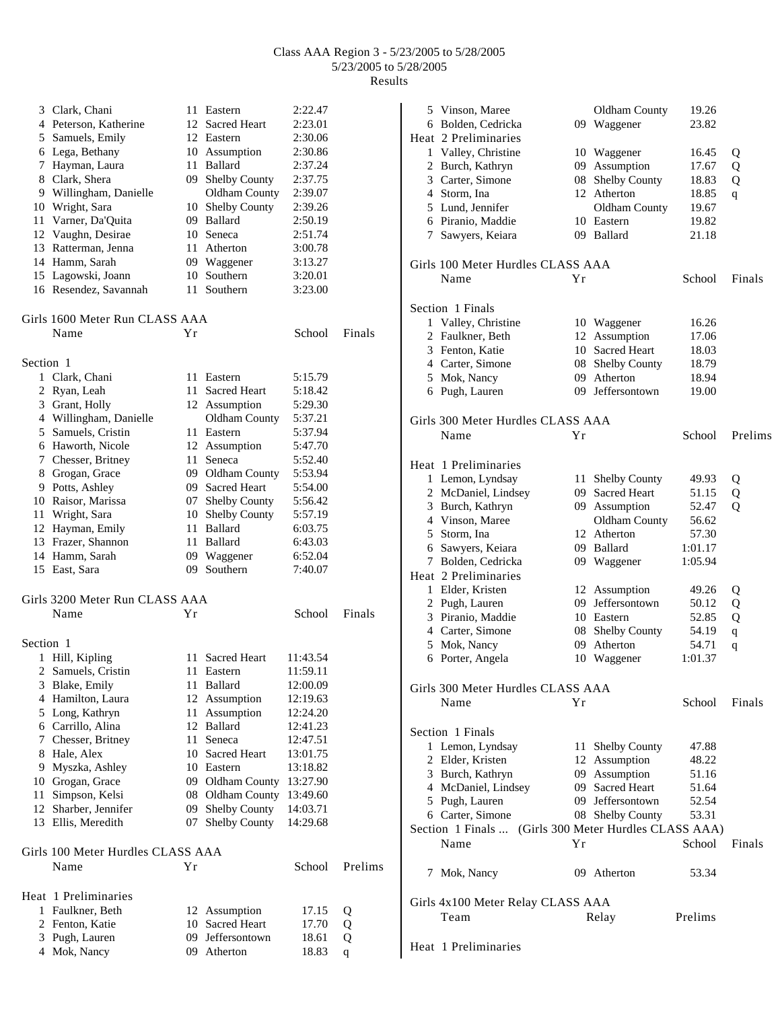|           | 3 Clark, Chani                            | 11   | Eastern              | 2:22.47  |             |
|-----------|-------------------------------------------|------|----------------------|----------|-------------|
|           | 4 Peterson, Katherine                     | 12   | <b>Sacred Heart</b>  | 2:23.01  |             |
|           | 5 Samuels, Emily                          |      | 12 Eastern           | 2:30.06  |             |
|           | 6 Lega, Bethany                           |      | 10 Assumption        | 2:30.86  |             |
|           | 7 Hayman, Laura                           |      | 11 Ballard           | 2:37.24  |             |
|           | 8 Clark, Shera                            |      | 09 Shelby County     | 2:37.75  |             |
|           |                                           |      |                      |          |             |
|           | 9 Willingham, Danielle                    |      | Oldham County        | 2:39.07  |             |
|           | 10 Wright, Sara                           |      | 10 Shelby County     | 2:39.26  |             |
|           | 11 Varner, Da'Quita                       |      | 09 Ballard           | 2:50.19  |             |
|           | 12 Vaughn, Desirae                        |      | 10 Seneca            | 2:51.74  |             |
|           | 13 Ratterman, Jenna                       | 11   | Atherton             | 3:00.78  |             |
|           | 14 Hamm, Sarah                            |      | 09 Waggener          | 3:13.27  |             |
|           |                                           |      | 10 Southern          | 3:20.01  |             |
|           | 15 Lagowski, Joann                        |      |                      |          |             |
|           | 16 Resendez, Savannah                     | 11   | Southern             | 3:23.00  |             |
|           | Girls 1600 Meter Run CLASS AAA            |      |                      |          |             |
|           | Name                                      | Υr   |                      | School   | Finals      |
|           |                                           |      |                      |          |             |
| Section 1 | 1 Clark, Chani                            | 11   | Eastern              | 5:15.79  |             |
|           |                                           |      |                      |          |             |
|           | 2 Ryan, Leah                              | 11   | Sacred Heart         | 5:18.42  |             |
|           | 3 Grant, Holly                            |      | 12 Assumption        | 5:29.30  |             |
|           | 4 Willingham, Danielle                    |      | Oldham County        | 5:37.21  |             |
|           | 5 Samuels, Cristin                        | 11   | Eastern              | 5:37.94  |             |
|           | 6 Haworth, Nicole                         |      | 12 Assumption        | 5:47.70  |             |
|           | 7 Chesser, Britney                        | 11   | Seneca               | 5:52.40  |             |
|           |                                           |      |                      |          |             |
|           | 8 Grogan, Grace                           |      | 09 Oldham County     | 5:53.94  |             |
|           | 9 Potts, Ashley                           |      | 09 Sacred Heart      | 5:54.00  |             |
|           | 10 Raisor, Marissa                        |      | 07 Shelby County     | 5:56.42  |             |
|           | 11 Wright, Sara                           | 10   | <b>Shelby County</b> | 5:57.19  |             |
|           | 12 Hayman, Emily                          | 11   | Ballard              | 6:03.75  |             |
|           | 13 Frazer, Shannon                        | 11   | Ballard              | 6:43.03  |             |
|           | 14 Hamm, Sarah                            | 09   |                      | 6:52.04  |             |
|           |                                           | 09.  | Waggener<br>Southern | 7:40.07  |             |
|           | 15 East, Sara                             |      |                      |          |             |
|           | Girls 3200 Meter Run CLASS AAA            |      |                      |          |             |
|           | Name                                      | Υr   |                      | School   | Finals      |
| Section 1 |                                           |      |                      |          |             |
|           | 1 Hill, Kipling                           | 11 - | Sacred Heart         | 11:43.54 |             |
|           |                                           |      |                      |          |             |
|           | 2 Samuels, Cristin                        |      | 11 Eastern           | 11:59.11 |             |
| 3         | Blake, Emily                              | 11   | Ballard              | 12:00.09 |             |
|           | 4 Hamilton, Laura                         | 12   | Assumption           | 12:19.63 |             |
|           | 5 Long, Kathryn                           | 11   | Assumption           | 12:24.20 |             |
|           | 6 Carrillo, Alina                         | 12   | Ballard              | 12:41.23 |             |
|           | 7 Chesser, Britney                        | 11   | Seneca               | 12:47.51 |             |
|           | 8 Hale, Alex                              | 10   | <b>Sacred Heart</b>  | 13:01.75 |             |
|           | 9 Myszka, Ashley                          |      | 10 Eastern           | 13:18.82 |             |
|           |                                           |      |                      |          |             |
|           | 10 Grogan, Grace                          |      | 09 Oldham County     | 13:27.90 |             |
|           | 11 Simpson, Kelsi                         |      | 08 Oldham County     | 13:49.60 |             |
|           | 12 Sharber, Jennifer                      | 09   | Shelby County        | 14:03.71 |             |
|           | 13 Ellis, Meredith                        | 07   | Shelby County        | 14:29.68 |             |
|           |                                           |      |                      |          |             |
|           | Girls 100 Meter Hurdles CLASS AAA<br>Name | Υr   |                      | School   | Prelims     |
|           |                                           |      |                      |          |             |
|           | Heat 1 Preliminaries                      |      |                      |          |             |
|           | 1 Faulkner, Beth                          |      | 12 Assumption        | 17.15    | Q           |
|           | 2 Fenton, Katie                           |      | 10 Sacred Heart      | 17.70    | Q           |
|           | 3 Pugh, Lauren                            | 09   | Jeffersontown        | 18.61    | Q           |
|           | 4 Mok, Nancy                              | 09   | Atherton             | 18.83    | $\mathbf q$ |
|           |                                           |      |                      |          |             |

| 5 Vinson, Maree                   |     | Oldham County                       | 19.26   |             |
|-----------------------------------|-----|-------------------------------------|---------|-------------|
| 6 Bolden, Cedricka                |     | 09 Waggener                         | 23.82   |             |
| Heat 2 Preliminaries              |     |                                     |         |             |
| 1 Valley, Christine               | 10  | Waggener                            | 16.45   | Q           |
| 2 Burch, Kathryn                  |     | 09 Assumption                       | 17.67   | Q           |
| 3 Carter, Simone                  | 08  | Shelby County                       | 18.83   | Q           |
| 4 Storm, Ina                      |     | 12 Atherton                         | 18.85   | q           |
| 5 Lund, Jennifer                  |     | Oldham County                       | 19.67   |             |
| 6 Piranio, Maddie                 |     | 10 Eastern                          | 19.82   |             |
| 7 Sawyers, Keiara                 |     | 09 Ballard                          | 21.18   |             |
|                                   |     |                                     |         |             |
| Girls 100 Meter Hurdles CLASS AAA |     |                                     |         |             |
|                                   |     |                                     |         |             |
| Name                              | Υr  |                                     | School  | Finals      |
|                                   |     |                                     |         |             |
| Section 1 Finals                  |     |                                     |         |             |
| 1 Valley, Christine               |     | 10 Waggener                         | 16.26   |             |
| 2 Faulkner, Beth                  |     | 12 Assumption                       | 17.06   |             |
| 3 Fenton, Katie                   |     | 10 Sacred Heart                     | 18.03   |             |
| 4 Carter, Simone                  |     | 08 Shelby County                    | 18.79   |             |
| 5 Mok, Nancy                      |     | 09 Atherton                         | 18.94   |             |
| 6 Pugh, Lauren                    |     | 09 Jeffersontown                    | 19.00   |             |
|                                   |     |                                     |         |             |
| Girls 300 Meter Hurdles CLASS AAA |     |                                     |         |             |
| Name                              | Υr  |                                     | School  | Prelims     |
|                                   |     |                                     |         |             |
| Heat 1 Preliminaries              |     |                                     |         |             |
| 1 Lemon, Lyndsay                  | 11  | <b>Shelby County</b>                | 49.93   | Q           |
| 2 McDaniel, Lindsey               |     | 09 Sacred Heart                     | 51.15   | Q           |
| 3 Burch, Kathryn                  |     | 09 Assumption                       | 52.47   | Q           |
| 4 Vinson, Maree                   |     |                                     |         |             |
|                                   |     | Oldham County                       | 56.62   |             |
| 5 Storm, Ina                      |     | 12 Atherton                         | 57.30   |             |
| 6 Sawyers, Keiara                 |     | 09 Ballard                          | 1:01.17 |             |
| 7 Bolden, Cedricka                | 09  | Waggener                            | 1:05.94 |             |
| Heat 2 Preliminaries              |     |                                     |         |             |
| 1 Elder, Kristen                  | 12  | Assumption                          | 49.26   | Q           |
| 2 Pugh, Lauren                    | 09- | Jeffersontown                       | 50.12   | Q           |
| 3 Piranio, Maddie                 |     | 10 Eastern                          | 52.85   | Q           |
| 4 Carter, Simone                  |     | 08 Shelby County                    | 54.19   | $\mathbf q$ |
| 5 Mok, Nancy                      | 09  | Atherton                            | 54.71   | q           |
| 6 Porter, Angela                  |     | 10 Waggener                         | 1:01.37 |             |
|                                   |     |                                     |         |             |
| Girls 300 Meter Hurdles CLASS AAA |     |                                     |         |             |
| Name                              | Υr  |                                     | School  | Finals      |
|                                   |     |                                     |         |             |
| Section 1 Finals                  |     |                                     |         |             |
| 1 Lemon, Lyndsay                  |     | 11 Shelby County                    | 47.88   |             |
| 2 Elder, Kristen                  |     | 12 Assumption                       | 48.22   |             |
| 3 Burch, Kathryn                  |     | 09 Assumption                       | 51.16   |             |
| 4 McDaniel, Lindsey               |     | 09 Sacred Heart                     | 51.64   |             |
| 5 Pugh, Lauren                    |     | 09 Jeffersontown                    | 52.54   |             |
| 6 Carter, Simone                  |     | 08 Shelby County                    | 53.31   |             |
| Section 1 Finals                  |     | (Girls 300 Meter Hurdles CLASS AAA) |         |             |
| Name                              | Yr  |                                     | School  | Finals      |
|                                   |     |                                     |         |             |
|                                   |     |                                     |         |             |
| 7 Mok, Nancy                      |     | 09 Atherton                         | 53.34   |             |
|                                   |     |                                     |         |             |
| Girls 4x100 Meter Relay CLASS AAA |     |                                     |         |             |
| Team                              |     | Relay                               | Prelims |             |
|                                   |     |                                     |         |             |
| Heat 1 Preliminaries              |     |                                     |         |             |
|                                   |     |                                     |         |             |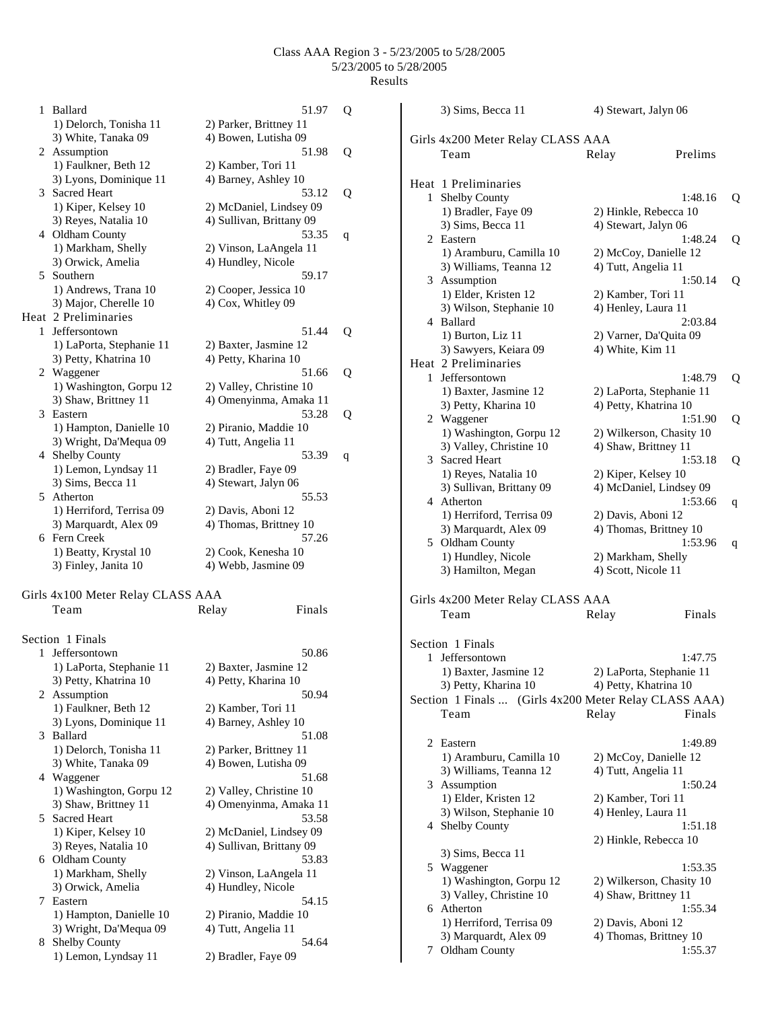1 Ballard 51.97 Q 1) Delorch, Tonisha 11 2) Parker, Brittney 11 3) White, Tanaka 09 4) Bowen, Lutisha 09 2 Assumption 51.98 Q 1) Faulkner, Beth 12 2) Kamber, Tori 11 3) Lyons, Dominique 11 4) Barney, Ashley 10 3 Sacred Heart 53.12 Q 1) Kiper, Kelsey 10 2) McDaniel, Lindsey 09 3) Reyes, Natalia 10 4) Sullivan, Brittany 09 4 Oldham County 53.35 q 1) Markham, Shelly 2) Vinson, LaAngela 11 3) Orwick, Amelia 4) Hundley, Nicole 5 Southern 59.17 1) Andrews, Trana 10 2) Cooper, Jessica 10 3) Major, Cherelle 10 4) Cox, Whitley 09 Heat 2 Preliminaries 1 Jeffersontown 51.44 Q 1) LaPorta, Stephanie 11 2) Baxter, Jasmine 12 3) Petty, Khatrina 10 4) Petty, Kharina 10 2 Waggener 51.66 Q 1) Washington, Gorpu 12 2) Valley, Christine 10 3) Shaw, Brittney 11 4) Omenyinma, Amaka 11 3 Eastern 53.28 Q 1) Hampton, Danielle 10 2) Piranio, Maddie 10 3) Wright, Da'Mequa 09 4) Tutt, Angelia 11 4 Shelby County 53.39 q 1) Lemon, Lyndsay 11 2) Bradler, Faye 09 3) Sims, Becca 11 4) Stewart, Jalyn 06 5 Atherton 55.53 1) Herriford, Terrisa 09 2) Davis, Aboni 12 3) Marquardt, Alex 09 4) Thomas, Brittney 10 6 Fern Creek 57.26 1) Beatty, Krystal 10 2) Cook, Kenesha 10 3) Finley, Janita 10 4) Webb, Jasmine 09 Girls 4x100 Meter Relay CLASS AAA Team Relay Finals Section 1 Finals

|   | спон і гіпату            |                          |
|---|--------------------------|--------------------------|
|   | 1 Jeffersontown          | 50.86                    |
|   | 1) LaPorta, Stephanie 11 | 2) Baxter, Jasmine 12    |
|   | 3) Petty, Khatrina 10    | 4) Petty, Kharina 10     |
|   | 2 Assumption             | 50.94                    |
|   | 1) Faulkner, Beth 12     | 2) Kamber, Tori 11       |
|   | 3) Lyons, Dominique 11   | 4) Barney, Ashley 10     |
|   | 3 Ballard                | 51.08                    |
|   | 1) Delorch, Tonisha 11   | 2) Parker, Brittney 11   |
|   | 3) White, Tanaka 09      | 4) Bowen, Lutisha 09     |
|   | 4 Waggener               | 51.68                    |
|   | 1) Washington, Gorpu 12  | 2) Valley, Christine 10  |
|   | 3) Shaw, Brittney 11     | 4) Omenyinma, Amaka 11   |
|   | 5 Sacred Heart           | 53.58                    |
|   | 1) Kiper, Kelsey 10      | 2) McDaniel, Lindsey 09  |
|   | 3) Reyes, Natalia 10     | 4) Sullivan, Brittany 09 |
|   | 6 Oldham County          | 53.83                    |
|   | 1) Markham, Shelly       | 2) Vinson, LaAngela 11   |
|   | 3) Orwick, Amelia        | 4) Hundley, Nicole       |
| 7 | Eastern                  | 54.15                    |
|   | 1) Hampton, Danielle 10  | 2) Piranio, Maddie 10    |
|   | 3) Wright, Da'Mequa 09   | 4) Tutt, Angelia 11      |
| 8 | <b>Shelby County</b>     | 54.64                    |
|   | 1) Lemon, Lyndsay 11     | 2) Bradler, Faye 09      |
|   |                          |                          |

|                | 3) Sims, Becca 11                                     | 4) Stewart, Jalyn 06                              |         |   |
|----------------|-------------------------------------------------------|---------------------------------------------------|---------|---|
|                | Girls 4x200 Meter Relay CLASS AAA                     |                                                   |         |   |
|                | Team                                                  | Relay                                             | Prelims |   |
|                |                                                       |                                                   |         |   |
|                | Heat 1 Preliminaries                                  |                                                   |         |   |
| 1              | Shelby County                                         |                                                   | 1:48.16 | Q |
|                | 1) Bradler, Faye 09                                   | 2) Hinkle, Rebecca 10                             |         |   |
|                | 3) Sims, Becca 11                                     | 4) Stewart, Jalyn 06                              |         |   |
| 2              | Eastern                                               |                                                   | 1:48.24 | Q |
|                | 1) Aramburu, Camilla 10                               | 2) McCoy, Danielle 12                             |         |   |
|                | 3) Williams, Teanna 12                                | 4) Tutt, Angelia 11                               |         |   |
|                | 3 Assumption                                          |                                                   | 1:50.14 | Q |
|                | 1) Elder, Kristen 12                                  | 2) Kamber, Tori 11                                |         |   |
|                | 3) Wilson, Stephanie 10                               | 4) Henley, Laura 11                               |         |   |
|                | 4 Ballard                                             |                                                   | 2:03.84 |   |
|                | 1) Burton, Liz 11                                     | 2) Varner, Da'Quita 09                            |         |   |
|                | 3) Sawyers, Keiara 09                                 | 4) White, Kim 11                                  |         |   |
|                | Heat 2 Preliminaries                                  |                                                   |         |   |
| 1.             | Jeffersontown                                         |                                                   | 1:48.79 | Q |
|                | 1) Baxter, Jasmine 12<br>3) Petty, Kharina 10         | 2) LaPorta, Stephanie 11<br>4) Petty, Khatrina 10 |         |   |
|                | 2 Waggener                                            |                                                   | 1:51.90 | Q |
|                | 1) Washington, Gorpu 12                               | 2) Wilkerson, Chasity 10                          |         |   |
|                | 3) Valley, Christine 10                               | 4) Shaw, Brittney 11                              |         |   |
|                | 3 Sacred Heart                                        |                                                   | 1:53.18 | Q |
|                | 1) Reyes, Natalia 10                                  | 2) Kiper, Kelsey 10                               |         |   |
|                | 3) Sullivan, Brittany 09                              | 4) McDaniel, Lindsey 09                           |         |   |
|                | 4 Atherton                                            |                                                   | 1:53.66 | q |
|                | 1) Herriford, Terrisa 09                              | 2) Davis, Aboni 12                                |         |   |
|                | 3) Marquardt, Alex 09                                 | 4) Thomas, Brittney 10                            |         |   |
| 5              | Oldham County                                         |                                                   | 1:53.96 | q |
|                | 1) Hundley, Nicole                                    | 2) Markham, Shelly                                |         |   |
|                | 3) Hamilton, Megan                                    | 4) Scott, Nicole 11                               |         |   |
|                |                                                       |                                                   |         |   |
|                | Girls 4x200 Meter Relay CLASS AAA                     |                                                   |         |   |
|                | Team                                                  | Relay                                             | Finals  |   |
|                | Section 1 Finals                                      |                                                   |         |   |
|                | 1 Jeffersontown                                       |                                                   | 1:47.75 |   |
|                | 1) Baxter, Jasmine 12                                 | 2) LaPorta, Stephanie 11                          |         |   |
|                | 3) Petty, Kharina 10                                  | 4) Petty, Khatrina 10                             |         |   |
|                | Section 1 Finals  (Girls 4x200 Meter Relay CLASS AAA) |                                                   |         |   |
|                | Team                                                  | Relay                                             | Finals  |   |
|                |                                                       |                                                   |         |   |
| $\overline{2}$ | Eastern                                               |                                                   | 1:49.89 |   |
|                | 1) Aramburu, Camilla 10                               | 2) McCoy, Danielle 12                             |         |   |
|                | 3) Williams, Teanna 12                                | 4) Tutt, Angelia 11                               |         |   |
|                | 3 Assumption                                          |                                                   | 1:50.24 |   |
|                | 1) Elder, Kristen 12                                  | 2) Kamber, Tori 11                                |         |   |
|                | 3) Wilson, Stephanie 10                               | 4) Henley, Laura 11                               |         |   |
| 4              | <b>Shelby County</b>                                  |                                                   | 1:51.18 |   |
|                |                                                       | 2) Hinkle, Rebecca 10                             |         |   |
|                | 3) Sims, Becca 11                                     |                                                   |         |   |
|                | 5 Waggener                                            |                                                   | 1:53.35 |   |
|                | 1) Washington, Gorpu 12                               | 2) Wilkerson, Chasity 10                          |         |   |
|                | 3) Valley, Christine 10                               | 4) Shaw, Brittney 11                              |         |   |
|                | 6 Atherton                                            |                                                   | 1:55.34 |   |
|                | 1) Herriford, Terrisa 09                              | 2) Davis, Aboni 12<br>4) Thomas, Brittney 10      |         |   |
| 7              | 3) Marquardt, Alex 09<br>Oldham County                |                                                   | 1:55.37 |   |
|                |                                                       |                                                   |         |   |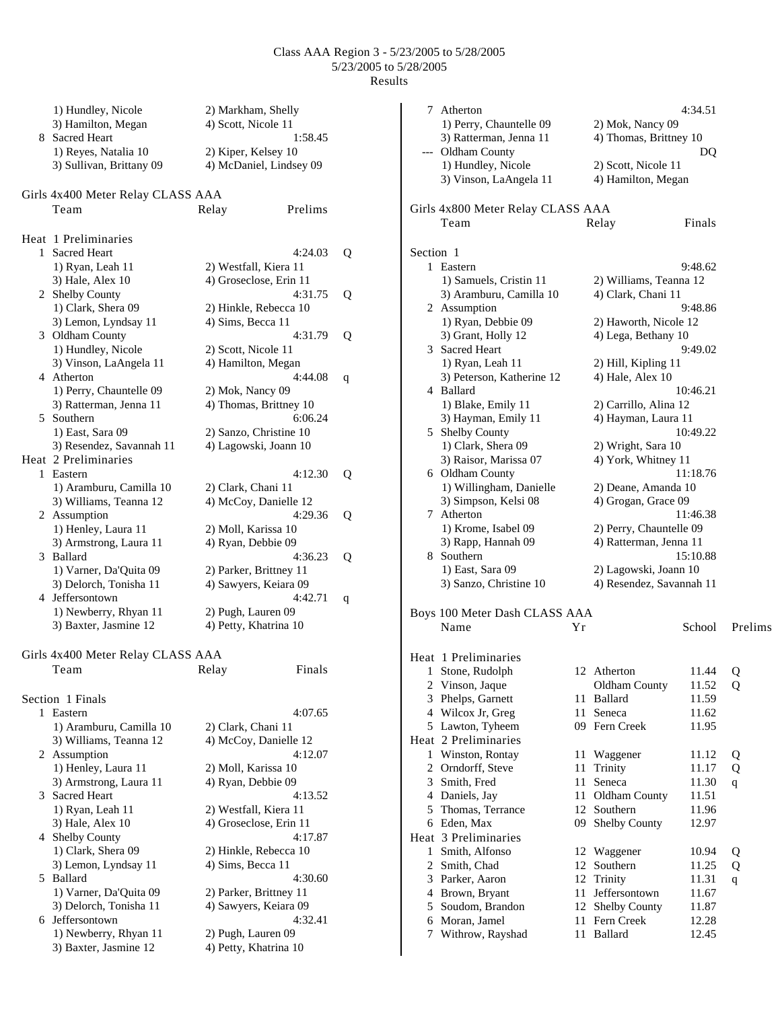|    | 1) Hundley, Nicole                                | 2) Markham, Shelly                          |   |
|----|---------------------------------------------------|---------------------------------------------|---|
|    | 3) Hamilton, Megan                                | 4) Scott, Nicole 11                         |   |
| 8. | <b>Sacred Heart</b>                               | 1:58.45                                     |   |
|    | 1) Reyes, Natalia 10                              | 2) Kiper, Kelsey 10                         |   |
|    | 3) Sullivan, Brittany 09                          | 4) McDaniel, Lindsey 09                     |   |
|    |                                                   |                                             |   |
|    | Girls 4x400 Meter Relay CLASS AAA                 |                                             |   |
|    | Team                                              | Prelims<br>Relay                            |   |
|    | Heat 1 Preliminaries                              |                                             |   |
| 1  | <b>Sacred Heart</b>                               | 4:24.03                                     | Q |
|    | 1) Ryan, Leah 11                                  | 2) Westfall, Kiera 11                       |   |
|    | 3) Hale, Alex 10                                  | 4) Groseclose, Erin 11                      |   |
|    | 2 Shelby County                                   | 4:31.75                                     | Q |
|    | 1) Clark, Shera 09                                | 2) Hinkle, Rebecca 10                       |   |
|    | 3) Lemon, Lyndsay 11                              | 4) Sims, Becca 11                           |   |
|    | 3 Oldham County                                   | 4:31.79                                     | Q |
|    | 1) Hundley, Nicole                                | 2) Scott, Nicole 11                         |   |
|    | 3) Vinson, LaAngela 11                            | 4) Hamilton, Megan                          |   |
|    | 4 Atherton                                        | 4:44.08                                     | q |
|    | 1) Perry, Chauntelle 09<br>3) Ratterman, Jenna 11 | 2) Mok, Nancy 09<br>4) Thomas, Brittney 10  |   |
| 5. | Southern                                          | 6:06.24                                     |   |
|    | 1) East, Sara 09                                  | 2) Sanzo, Christine 10                      |   |
|    | 3) Resendez, Savannah 11                          | 4) Lagowski, Joann 10                       |   |
|    | Heat 2 Preliminaries                              |                                             |   |
| 1  | Eastern                                           | 4:12.30                                     | Q |
|    | 1) Aramburu, Camilla 10                           | 2) Clark, Chani 11                          |   |
|    | 3) Williams, Teanna 12                            | 4) McCoy, Danielle 12                       |   |
|    | 2 Assumption                                      | 4:29.36                                     | Q |
|    | 1) Henley, Laura 11                               | 2) Moll, Karissa 10                         |   |
|    | 3) Armstrong, Laura 11                            | 4) Ryan, Debbie 09                          |   |
| 3  | Ballard                                           | 4:36.23                                     | Q |
|    | 1) Varner, Da'Quita 09                            | 2) Parker, Brittney 11                      |   |
|    | 3) Delorch, Tonisha 11<br>4 Jeffersontown         | 4) Sawyers, Keiara 09<br>4:42.71            |   |
|    | 1) Newberry, Rhyan 11                             | 2) Pugh, Lauren 09                          | q |
|    | 3) Baxter, Jasmine 12                             | 4) Petty, Khatrina 10                       |   |
|    |                                                   |                                             |   |
|    | Girls 4x400 Meter Relay CLASS AAA                 |                                             |   |
|    | Team                                              | Relay<br>Finals                             |   |
|    |                                                   |                                             |   |
|    | Section 1 Finals                                  |                                             |   |
| 1  | Eastern                                           | 4:07.65                                     |   |
|    | 1) Aramburu, Camilla 10                           | 2) Clark, Chani 11                          |   |
|    | 3) Williams, Teanna 12                            | 4) McCoy, Danielle 12                       |   |
|    | 2 Assumption                                      | 4:12.07                                     |   |
|    | 1) Henley, Laura 11<br>3) Armstrong, Laura 11     | 2) Moll, Karissa 10<br>4) Ryan, Debbie 09   |   |
| 3  | Sacred Heart                                      | 4:13.52                                     |   |
|    | 1) Ryan, Leah 11                                  | 2) Westfall, Kiera 11                       |   |
|    | 3) Hale, Alex 10                                  | 4) Groseclose, Erin 11                      |   |
|    | 4 Shelby County                                   | 4:17.87                                     |   |
|    | 1) Clark, Shera 09                                | 2) Hinkle, Rebecca 10                       |   |
|    | 3) Lemon, Lyndsay 11                              | 4) Sims, Becca 11                           |   |
| 5  | Ballard                                           | 4:30.60                                     |   |
|    | 1) Varner, Da'Quita 09                            | 2) Parker, Brittney 11                      |   |
|    | 3) Delorch, Tonisha 11                            | 4) Sawyers, Keiara 09                       |   |
| 6  | Jeffersontown                                     | 4:32.41                                     |   |
|    | 1) Newberry, Rhyan 11<br>3) Baxter, Jasmine 12    | 2) Pugh, Lauren 09<br>4) Petty, Khatrina 10 |   |
|    |                                                   |                                             |   |

| 7         | Atherton                                    |    |                          | 4:34.51  |              |
|-----------|---------------------------------------------|----|--------------------------|----------|--------------|
|           | 1) Perry, Chauntelle 09                     |    | 2) Mok, Nancy 09         |          |              |
|           | 3) Ratterman, Jenna 11<br>--- Oldham County |    | 4) Thomas, Brittney 10   | DQ       |              |
|           | 1) Hundley, Nicole                          |    | 2) Scott, Nicole 11      |          |              |
|           | 3) Vinson, LaAngela 11                      |    | 4) Hamilton, Megan       |          |              |
|           | Girls 4x800 Meter Relay CLASS AAA           |    |                          |          |              |
|           | Team                                        |    | Relay                    | Finals   |              |
|           |                                             |    |                          |          |              |
| Section 1 |                                             |    |                          |          |              |
|           | 1 Eastern                                   |    |                          | 9:48.62  |              |
|           | 1) Samuels, Cristin 11                      |    | 2) Williams, Teanna 12   |          |              |
|           | 3) Aramburu, Camilla 10                     |    | 4) Clark, Chani 11       |          |              |
|           | 2 Assumption                                |    |                          | 9:48.86  |              |
|           | 1) Ryan, Debbie 09                          |    | 2) Haworth, Nicole 12    |          |              |
|           | 3) Grant, Holly 12                          |    | 4) Lega, Bethany 10      |          |              |
|           | 3 Sacred Heart                              |    |                          | 9:49.02  |              |
|           | 1) Ryan, Leah 11                            |    | 2) Hill, Kipling 11      |          |              |
|           | 3) Peterson, Katherine 12                   |    | 4) Hale, Alex 10         |          |              |
|           | 4 Ballard                                   |    |                          | 10:46.21 |              |
|           | 1) Blake, Emily 11                          |    | 2) Carrillo, Alina 12    |          |              |
|           | 3) Hayman, Emily 11                         |    | 4) Hayman, Laura 11      |          |              |
|           | 5 Shelby County                             |    |                          | 10:49.22 |              |
|           | 1) Clark, Shera 09                          |    | 2) Wright, Sara 10       |          |              |
|           | 3) Raisor, Marissa 07                       |    | 4) York, Whitney 11      |          |              |
|           | 6 Oldham County                             |    |                          | 11:18.76 |              |
|           | 1) Willingham, Danielle                     |    | 2) Deane, Amanda 10      |          |              |
|           | 3) Simpson, Kelsi 08                        |    | 4) Grogan, Grace 09      |          |              |
|           | 7 Atherton                                  |    |                          | 11:46.38 |              |
|           | 1) Krome, Isabel 09                         |    | 2) Perry, Chauntelle 09  |          |              |
|           | 3) Rapp, Hannah 09<br>8 Southern            |    | 4) Ratterman, Jenna 11   | 15:10.88 |              |
|           |                                             |    | 2) Lagowski, Joann 10    |          |              |
|           | 1) East, Sara 09<br>3) Sanzo, Christine 10  |    | 4) Resendez, Savannah 11 |          |              |
|           |                                             |    |                          |          |              |
|           | Boys 100 Meter Dash CLASS AAA               |    |                          |          |              |
|           | Name                                        | Yr |                          | School   | Prelims      |
|           | Heat 1 Preliminaries                        |    |                          |          |              |
|           | 1 Stone, Rudolph                            |    | 12 Atherton              | 11.44    | $\circ$      |
| 2         | Vinson, Jaque                               |    | Oldham County            | 11.52    | Q            |
|           | 3 Phelps, Garnett                           | 11 | Ballard                  | 11.59    |              |
|           | 4 Wilcox Jr, Greg                           | 11 | Seneca                   | 11.62    |              |
|           | 5 Lawton, Tyheem                            |    | 09 Fern Creek            | 11.95    |              |
|           | Heat 2 Preliminaries                        |    |                          |          |              |
| 1         | Winston, Rontay                             | 11 | Waggener                 | 11.12    | Q            |
|           | 2 Orndorff, Steve                           | 11 | Trinity                  | 11.17    | Q            |
|           | 3 Smith, Fred                               | 11 | Seneca                   | 11.30    | q            |
|           | 4 Daniels, Jay                              | 11 | Oldham County            | 11.51    |              |
|           | 5 Thomas, Terrance                          | 12 | Southern                 | 11.96    |              |
|           | 6 Eden, Max                                 | 09 | Shelby County            | 12.97    |              |
|           | Heat 3 Preliminaries                        |    |                          |          |              |
| 1         | Smith, Alfonso                              | 12 | Waggener                 | 10.94    | Q            |
|           | 2 Smith, Chad                               | 12 | Southern                 | 11.25    | Q            |
|           | 3 Parker, Aaron                             |    | 12 Trinity               | 11.31    | $\mathbf{q}$ |
|           | 4 Brown, Bryant                             | 11 | Jeffersontown            | 11.67    |              |
|           | 5 Soudom, Brandon                           | 12 | <b>Shelby County</b>     | 11.87    |              |
|           | 6 Moran, Jamel                              | 11 | Fern Creek               | 12.28    |              |
| 7         | Withrow, Rayshad                            | 11 | Ballard                  | 12.45    |              |
|           |                                             |    |                          |          |              |
|           |                                             |    |                          |          |              |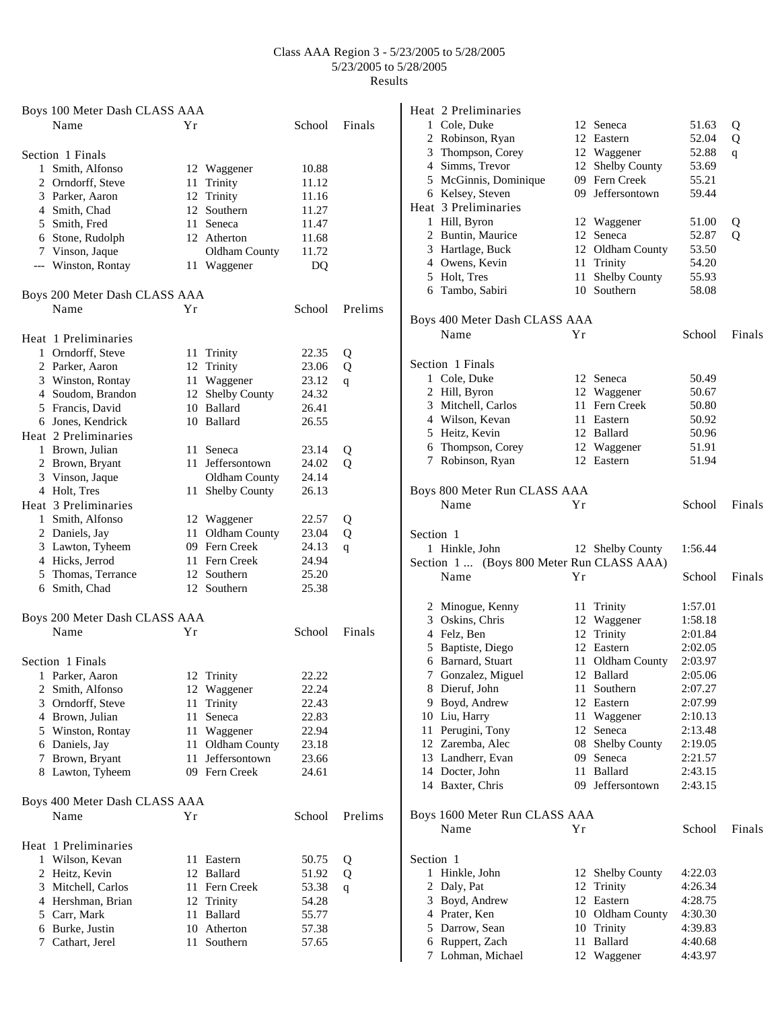| Boys 100 Meter Dash CLASS AAA         |      |                      |        |         |
|---------------------------------------|------|----------------------|--------|---------|
| Name                                  | Υr   |                      | School | Finals  |
| Section 1 Finals                      |      |                      |        |         |
| 1 Smith, Alfonso                      |      | 12 Waggener          | 10.88  |         |
| 2 Orndorff, Steve                     | 11   | Trinity              | 11.12  |         |
| 3 Parker, Aaron                       |      | 12 Trinity           | 11.16  |         |
| 4 Smith, Chad                         |      | 12 Southern          | 11.27  |         |
| 5 Smith, Fred                         |      | 11 Seneca            | 11.47  |         |
| 6 Stone, Rudolph                      |      | 12 Atherton          | 11.68  |         |
| 7 Vinson, Jaque                       |      | <b>Oldham County</b> | 11.72  |         |
| --- Winston, Rontay                   |      | 11 Waggener          | DQ     |         |
| Boys 200 Meter Dash CLASS AAA         |      |                      |        |         |
| Name                                  | Υr   |                      | School | Prelims |
| Heat 1 Preliminaries                  |      |                      |        |         |
| 1 Orndorff, Steve                     |      | 11 Trinity           | 22.35  | Q       |
| 2 Parker, Aaron                       |      | 12 Trinity           | 23.06  | Q       |
| 3 Winston, Rontay                     |      | 11 Waggener          | 23.12  | q       |
| 4 Soudom, Brandon                     | 12   | <b>Shelby County</b> | 24.32  |         |
| 5 Francis, David                      |      | 10 Ballard           | 26.41  |         |
| 6 Jones, Kendrick                     |      | 10 Ballard           | 26.55  |         |
| Heat 2 Preliminaries                  |      |                      |        |         |
| 1 Brown, Julian                       |      | 11 Seneca            | 23.14  | Q       |
| 2 Brown, Bryant                       |      | 11 Jeffersontown     | 24.02  | Q       |
| 3 Vinson, Jaque                       |      | <b>Oldham County</b> | 24.14  |         |
| 4 Holt, Tres                          | 11   | <b>Shelby County</b> | 26.13  |         |
| Heat 3 Preliminaries                  |      |                      |        |         |
| 1 Smith, Alfonso                      |      | 12 Waggener          | 22.57  | Q       |
| 2 Daniels, Jay                        |      | 11 Oldham County     | 23.04  | Q       |
| 3 Lawton, Tyheem                      |      | 09 Fern Creek        | 24.13  | q       |
| 4 Hicks, Jerrod                       |      | 11 Fern Creek        | 24.94  |         |
| 5 Thomas, Terrance                    |      | 12 Southern          | 25.20  |         |
| 6 Smith, Chad                         |      | 12 Southern          | 25.38  |         |
|                                       |      |                      |        |         |
| Boys 200 Meter Dash CLASS AAA<br>Name | Υr   |                      | School | Finals  |
|                                       |      |                      |        |         |
| Section 1 Finals                      |      | 12 Trinity           | 22.22  |         |
| 1 Parker, Aaron<br>2 Smith, Alfonso   |      | 12 Waggener          | 22.24  |         |
| 3 Orndorff, Steve                     | 11   | Trinity              | 22.43  |         |
| 4 Brown, Julian                       | 11   | Seneca               | 22.83  |         |
| 5 Winston, Rontay                     | 11   | Waggener             | 22.94  |         |
| 6 Daniels, Jay                        | 11   | Oldham County        | 23.18  |         |
| 7 Brown, Bryant                       | 11   | Jeffersontown        | 23.66  |         |
| 8 Lawton, Tyheem                      |      | 09 Fern Creek        | 24.61  |         |
|                                       |      |                      |        |         |
| Boys 400 Meter Dash CLASS AAA         |      |                      |        |         |
| Name                                  | Υr   |                      | School | Prelims |
| Heat 1 Preliminaries                  |      |                      |        |         |
| 1 Wilson, Kevan                       |      | 11 Eastern           | 50.75  | Q       |
| 2 Heitz, Kevin                        |      | 12 Ballard           | 51.92  | Q       |
| 3 Mitchell, Carlos                    |      | 11 Fern Creek        | 53.38  | q       |
| 4 Hershman, Brian                     |      | 12 Trinity           | 54.28  |         |
| 5 Carr, Mark                          | 11 - | Ballard              | 55.77  |         |
| 6 Burke, Justin                       |      | 10 Atherton          | 57.38  |         |
| 7 Cathart, Jerel                      |      | 11 Southern          | 57.65  |         |

| 1 Cole, Duke<br>12 Seneca<br>51.63<br>Q<br>2 Robinson, Ryan<br>12 Eastern<br>52.04<br>Q<br>3 Thompson, Corey<br>12 Waggener<br>52.88<br>q<br>4 Simms, Trevor<br>12 Shelby County<br>53.69<br>09 Fern Creek<br>5 McGinnis, Dominique<br>55.21<br>6 Kelsey, Steven<br>09 Jeffersontown<br>59.44<br>Heat 3 Preliminaries<br>1 Hill, Byron<br>12 Waggener<br>51.00<br>Q<br>2 Buntin, Maurice<br>12 Seneca<br>52.87<br>Q<br>3 Hartlage, Buck<br>12 Oldham County<br>53.50<br>4 Owens, Kevin<br>54.20<br>Trinity<br>11<br>Shelby County<br>5 Holt, Tres<br>11<br>55.93<br>10 Southern<br>6 Tambo, Sabiri<br>58.08<br>Boys 400 Meter Dash CLASS AAA<br>Name<br>Yr<br>School<br>Finals<br>Section 1 Finals<br>1 Cole, Duke<br>50.49<br>12 Seneca<br>2 Hill, Byron<br>12 Waggener<br>50.67<br>3 Mitchell, Carlos<br>11 Fern Creek<br>50.80<br>4 Wilson, Kevan<br>11 Eastern<br>50.92<br>5 Heitz, Kevin<br>12 Ballard<br>50.96<br>6 Thompson, Corey<br>12 Waggener<br>51.91<br>7 Robinson, Ryan<br>12 Eastern<br>51.94<br>Boys 800 Meter Run CLASS AAA<br>Name<br>Υr<br>School<br>Finals<br>Section 1<br>1 Hinkle, John<br>12 Shelby County<br>1:56.44<br>Section 1  (Boys 800 Meter Run CLASS AAA)<br>Name<br>School<br>Finals<br>Υr<br>2 Minogue, Kenny<br>Trinity<br>11<br>1:57.01<br>3 Oskins, Chris<br>12 Waggener<br>1:58.18<br>4 Felz, Ben<br>12 Trinity<br>2:01.84<br>5 Baptiste, Diego<br>12 Eastern<br>2:02.05<br>6 Barnard, Stuart<br>11 Oldham County<br>2:03.97<br>Gonzalez, Miguel<br>12 Ballard<br>2:05.06<br>7<br>8 Dieruf, John<br>11<br>Southern<br>2:07.27<br>9 Boyd, Andrew<br>12 Eastern<br>2:07.99<br>10 Liu, Harry<br>11 Waggener<br>2:10.13<br>11 Perugini, Tony<br>Seneca<br>12<br>2:13.48<br>Shelby County<br>12 Zaremba, Alec<br>08<br>2:19.05<br>13 Landherr, Evan<br>09<br>Seneca<br>2:21.57<br>14 Docter, John<br><b>Ballard</b><br>11<br>2:43.15<br>09 Jeffersontown<br>14 Baxter, Chris<br>2:43.15<br>Boys 1600 Meter Run CLASS AAA<br>School<br>Name<br>Υr<br>Finals<br>Section 1<br>Hinkle, John<br>12 Shelby County<br>4:22.03<br>1<br>12<br>2 Daly, Pat<br>Trinity<br>4:26.34<br>12 Eastern<br>3 Boyd, Andrew<br>4:28.75<br>4 Prater, Ken<br>10 Oldham County<br>4:30.30<br>5 Darrow, Sean<br>10 Trinity<br>4:39.83<br>Ballard<br>6 Ruppert, Zach<br>11<br>4:40.68<br>Lohman, Michael<br>12 Waggener<br>4:43.97<br>7 | Heat 2 Preliminaries |  |  |
|------------------------------------------------------------------------------------------------------------------------------------------------------------------------------------------------------------------------------------------------------------------------------------------------------------------------------------------------------------------------------------------------------------------------------------------------------------------------------------------------------------------------------------------------------------------------------------------------------------------------------------------------------------------------------------------------------------------------------------------------------------------------------------------------------------------------------------------------------------------------------------------------------------------------------------------------------------------------------------------------------------------------------------------------------------------------------------------------------------------------------------------------------------------------------------------------------------------------------------------------------------------------------------------------------------------------------------------------------------------------------------------------------------------------------------------------------------------------------------------------------------------------------------------------------------------------------------------------------------------------------------------------------------------------------------------------------------------------------------------------------------------------------------------------------------------------------------------------------------------------------------------------------------------------------------------------------------------------------------------------------------------------------------------------------------------------------------------------------------------------------------------------------------------------------------------------------------------------------------------------------------------------------------------------------------------------------------------------|----------------------|--|--|
|                                                                                                                                                                                                                                                                                                                                                                                                                                                                                                                                                                                                                                                                                                                                                                                                                                                                                                                                                                                                                                                                                                                                                                                                                                                                                                                                                                                                                                                                                                                                                                                                                                                                                                                                                                                                                                                                                                                                                                                                                                                                                                                                                                                                                                                                                                                                                |                      |  |  |
|                                                                                                                                                                                                                                                                                                                                                                                                                                                                                                                                                                                                                                                                                                                                                                                                                                                                                                                                                                                                                                                                                                                                                                                                                                                                                                                                                                                                                                                                                                                                                                                                                                                                                                                                                                                                                                                                                                                                                                                                                                                                                                                                                                                                                                                                                                                                                |                      |  |  |
|                                                                                                                                                                                                                                                                                                                                                                                                                                                                                                                                                                                                                                                                                                                                                                                                                                                                                                                                                                                                                                                                                                                                                                                                                                                                                                                                                                                                                                                                                                                                                                                                                                                                                                                                                                                                                                                                                                                                                                                                                                                                                                                                                                                                                                                                                                                                                |                      |  |  |
|                                                                                                                                                                                                                                                                                                                                                                                                                                                                                                                                                                                                                                                                                                                                                                                                                                                                                                                                                                                                                                                                                                                                                                                                                                                                                                                                                                                                                                                                                                                                                                                                                                                                                                                                                                                                                                                                                                                                                                                                                                                                                                                                                                                                                                                                                                                                                |                      |  |  |
|                                                                                                                                                                                                                                                                                                                                                                                                                                                                                                                                                                                                                                                                                                                                                                                                                                                                                                                                                                                                                                                                                                                                                                                                                                                                                                                                                                                                                                                                                                                                                                                                                                                                                                                                                                                                                                                                                                                                                                                                                                                                                                                                                                                                                                                                                                                                                |                      |  |  |
|                                                                                                                                                                                                                                                                                                                                                                                                                                                                                                                                                                                                                                                                                                                                                                                                                                                                                                                                                                                                                                                                                                                                                                                                                                                                                                                                                                                                                                                                                                                                                                                                                                                                                                                                                                                                                                                                                                                                                                                                                                                                                                                                                                                                                                                                                                                                                |                      |  |  |
|                                                                                                                                                                                                                                                                                                                                                                                                                                                                                                                                                                                                                                                                                                                                                                                                                                                                                                                                                                                                                                                                                                                                                                                                                                                                                                                                                                                                                                                                                                                                                                                                                                                                                                                                                                                                                                                                                                                                                                                                                                                                                                                                                                                                                                                                                                                                                |                      |  |  |
|                                                                                                                                                                                                                                                                                                                                                                                                                                                                                                                                                                                                                                                                                                                                                                                                                                                                                                                                                                                                                                                                                                                                                                                                                                                                                                                                                                                                                                                                                                                                                                                                                                                                                                                                                                                                                                                                                                                                                                                                                                                                                                                                                                                                                                                                                                                                                |                      |  |  |
|                                                                                                                                                                                                                                                                                                                                                                                                                                                                                                                                                                                                                                                                                                                                                                                                                                                                                                                                                                                                                                                                                                                                                                                                                                                                                                                                                                                                                                                                                                                                                                                                                                                                                                                                                                                                                                                                                                                                                                                                                                                                                                                                                                                                                                                                                                                                                |                      |  |  |
|                                                                                                                                                                                                                                                                                                                                                                                                                                                                                                                                                                                                                                                                                                                                                                                                                                                                                                                                                                                                                                                                                                                                                                                                                                                                                                                                                                                                                                                                                                                                                                                                                                                                                                                                                                                                                                                                                                                                                                                                                                                                                                                                                                                                                                                                                                                                                |                      |  |  |
|                                                                                                                                                                                                                                                                                                                                                                                                                                                                                                                                                                                                                                                                                                                                                                                                                                                                                                                                                                                                                                                                                                                                                                                                                                                                                                                                                                                                                                                                                                                                                                                                                                                                                                                                                                                                                                                                                                                                                                                                                                                                                                                                                                                                                                                                                                                                                |                      |  |  |
|                                                                                                                                                                                                                                                                                                                                                                                                                                                                                                                                                                                                                                                                                                                                                                                                                                                                                                                                                                                                                                                                                                                                                                                                                                                                                                                                                                                                                                                                                                                                                                                                                                                                                                                                                                                                                                                                                                                                                                                                                                                                                                                                                                                                                                                                                                                                                |                      |  |  |
|                                                                                                                                                                                                                                                                                                                                                                                                                                                                                                                                                                                                                                                                                                                                                                                                                                                                                                                                                                                                                                                                                                                                                                                                                                                                                                                                                                                                                                                                                                                                                                                                                                                                                                                                                                                                                                                                                                                                                                                                                                                                                                                                                                                                                                                                                                                                                |                      |  |  |
|                                                                                                                                                                                                                                                                                                                                                                                                                                                                                                                                                                                                                                                                                                                                                                                                                                                                                                                                                                                                                                                                                                                                                                                                                                                                                                                                                                                                                                                                                                                                                                                                                                                                                                                                                                                                                                                                                                                                                                                                                                                                                                                                                                                                                                                                                                                                                |                      |  |  |
|                                                                                                                                                                                                                                                                                                                                                                                                                                                                                                                                                                                                                                                                                                                                                                                                                                                                                                                                                                                                                                                                                                                                                                                                                                                                                                                                                                                                                                                                                                                                                                                                                                                                                                                                                                                                                                                                                                                                                                                                                                                                                                                                                                                                                                                                                                                                                |                      |  |  |
|                                                                                                                                                                                                                                                                                                                                                                                                                                                                                                                                                                                                                                                                                                                                                                                                                                                                                                                                                                                                                                                                                                                                                                                                                                                                                                                                                                                                                                                                                                                                                                                                                                                                                                                                                                                                                                                                                                                                                                                                                                                                                                                                                                                                                                                                                                                                                |                      |  |  |
|                                                                                                                                                                                                                                                                                                                                                                                                                                                                                                                                                                                                                                                                                                                                                                                                                                                                                                                                                                                                                                                                                                                                                                                                                                                                                                                                                                                                                                                                                                                                                                                                                                                                                                                                                                                                                                                                                                                                                                                                                                                                                                                                                                                                                                                                                                                                                |                      |  |  |
|                                                                                                                                                                                                                                                                                                                                                                                                                                                                                                                                                                                                                                                                                                                                                                                                                                                                                                                                                                                                                                                                                                                                                                                                                                                                                                                                                                                                                                                                                                                                                                                                                                                                                                                                                                                                                                                                                                                                                                                                                                                                                                                                                                                                                                                                                                                                                |                      |  |  |
|                                                                                                                                                                                                                                                                                                                                                                                                                                                                                                                                                                                                                                                                                                                                                                                                                                                                                                                                                                                                                                                                                                                                                                                                                                                                                                                                                                                                                                                                                                                                                                                                                                                                                                                                                                                                                                                                                                                                                                                                                                                                                                                                                                                                                                                                                                                                                |                      |  |  |
|                                                                                                                                                                                                                                                                                                                                                                                                                                                                                                                                                                                                                                                                                                                                                                                                                                                                                                                                                                                                                                                                                                                                                                                                                                                                                                                                                                                                                                                                                                                                                                                                                                                                                                                                                                                                                                                                                                                                                                                                                                                                                                                                                                                                                                                                                                                                                |                      |  |  |
|                                                                                                                                                                                                                                                                                                                                                                                                                                                                                                                                                                                                                                                                                                                                                                                                                                                                                                                                                                                                                                                                                                                                                                                                                                                                                                                                                                                                                                                                                                                                                                                                                                                                                                                                                                                                                                                                                                                                                                                                                                                                                                                                                                                                                                                                                                                                                |                      |  |  |
|                                                                                                                                                                                                                                                                                                                                                                                                                                                                                                                                                                                                                                                                                                                                                                                                                                                                                                                                                                                                                                                                                                                                                                                                                                                                                                                                                                                                                                                                                                                                                                                                                                                                                                                                                                                                                                                                                                                                                                                                                                                                                                                                                                                                                                                                                                                                                |                      |  |  |
|                                                                                                                                                                                                                                                                                                                                                                                                                                                                                                                                                                                                                                                                                                                                                                                                                                                                                                                                                                                                                                                                                                                                                                                                                                                                                                                                                                                                                                                                                                                                                                                                                                                                                                                                                                                                                                                                                                                                                                                                                                                                                                                                                                                                                                                                                                                                                |                      |  |  |
|                                                                                                                                                                                                                                                                                                                                                                                                                                                                                                                                                                                                                                                                                                                                                                                                                                                                                                                                                                                                                                                                                                                                                                                                                                                                                                                                                                                                                                                                                                                                                                                                                                                                                                                                                                                                                                                                                                                                                                                                                                                                                                                                                                                                                                                                                                                                                |                      |  |  |
|                                                                                                                                                                                                                                                                                                                                                                                                                                                                                                                                                                                                                                                                                                                                                                                                                                                                                                                                                                                                                                                                                                                                                                                                                                                                                                                                                                                                                                                                                                                                                                                                                                                                                                                                                                                                                                                                                                                                                                                                                                                                                                                                                                                                                                                                                                                                                |                      |  |  |
|                                                                                                                                                                                                                                                                                                                                                                                                                                                                                                                                                                                                                                                                                                                                                                                                                                                                                                                                                                                                                                                                                                                                                                                                                                                                                                                                                                                                                                                                                                                                                                                                                                                                                                                                                                                                                                                                                                                                                                                                                                                                                                                                                                                                                                                                                                                                                |                      |  |  |
|                                                                                                                                                                                                                                                                                                                                                                                                                                                                                                                                                                                                                                                                                                                                                                                                                                                                                                                                                                                                                                                                                                                                                                                                                                                                                                                                                                                                                                                                                                                                                                                                                                                                                                                                                                                                                                                                                                                                                                                                                                                                                                                                                                                                                                                                                                                                                |                      |  |  |
|                                                                                                                                                                                                                                                                                                                                                                                                                                                                                                                                                                                                                                                                                                                                                                                                                                                                                                                                                                                                                                                                                                                                                                                                                                                                                                                                                                                                                                                                                                                                                                                                                                                                                                                                                                                                                                                                                                                                                                                                                                                                                                                                                                                                                                                                                                                                                |                      |  |  |
|                                                                                                                                                                                                                                                                                                                                                                                                                                                                                                                                                                                                                                                                                                                                                                                                                                                                                                                                                                                                                                                                                                                                                                                                                                                                                                                                                                                                                                                                                                                                                                                                                                                                                                                                                                                                                                                                                                                                                                                                                                                                                                                                                                                                                                                                                                                                                |                      |  |  |
|                                                                                                                                                                                                                                                                                                                                                                                                                                                                                                                                                                                                                                                                                                                                                                                                                                                                                                                                                                                                                                                                                                                                                                                                                                                                                                                                                                                                                                                                                                                                                                                                                                                                                                                                                                                                                                                                                                                                                                                                                                                                                                                                                                                                                                                                                                                                                |                      |  |  |
|                                                                                                                                                                                                                                                                                                                                                                                                                                                                                                                                                                                                                                                                                                                                                                                                                                                                                                                                                                                                                                                                                                                                                                                                                                                                                                                                                                                                                                                                                                                                                                                                                                                                                                                                                                                                                                                                                                                                                                                                                                                                                                                                                                                                                                                                                                                                                |                      |  |  |
|                                                                                                                                                                                                                                                                                                                                                                                                                                                                                                                                                                                                                                                                                                                                                                                                                                                                                                                                                                                                                                                                                                                                                                                                                                                                                                                                                                                                                                                                                                                                                                                                                                                                                                                                                                                                                                                                                                                                                                                                                                                                                                                                                                                                                                                                                                                                                |                      |  |  |
|                                                                                                                                                                                                                                                                                                                                                                                                                                                                                                                                                                                                                                                                                                                                                                                                                                                                                                                                                                                                                                                                                                                                                                                                                                                                                                                                                                                                                                                                                                                                                                                                                                                                                                                                                                                                                                                                                                                                                                                                                                                                                                                                                                                                                                                                                                                                                |                      |  |  |
|                                                                                                                                                                                                                                                                                                                                                                                                                                                                                                                                                                                                                                                                                                                                                                                                                                                                                                                                                                                                                                                                                                                                                                                                                                                                                                                                                                                                                                                                                                                                                                                                                                                                                                                                                                                                                                                                                                                                                                                                                                                                                                                                                                                                                                                                                                                                                |                      |  |  |
|                                                                                                                                                                                                                                                                                                                                                                                                                                                                                                                                                                                                                                                                                                                                                                                                                                                                                                                                                                                                                                                                                                                                                                                                                                                                                                                                                                                                                                                                                                                                                                                                                                                                                                                                                                                                                                                                                                                                                                                                                                                                                                                                                                                                                                                                                                                                                |                      |  |  |
|                                                                                                                                                                                                                                                                                                                                                                                                                                                                                                                                                                                                                                                                                                                                                                                                                                                                                                                                                                                                                                                                                                                                                                                                                                                                                                                                                                                                                                                                                                                                                                                                                                                                                                                                                                                                                                                                                                                                                                                                                                                                                                                                                                                                                                                                                                                                                |                      |  |  |
|                                                                                                                                                                                                                                                                                                                                                                                                                                                                                                                                                                                                                                                                                                                                                                                                                                                                                                                                                                                                                                                                                                                                                                                                                                                                                                                                                                                                                                                                                                                                                                                                                                                                                                                                                                                                                                                                                                                                                                                                                                                                                                                                                                                                                                                                                                                                                |                      |  |  |
|                                                                                                                                                                                                                                                                                                                                                                                                                                                                                                                                                                                                                                                                                                                                                                                                                                                                                                                                                                                                                                                                                                                                                                                                                                                                                                                                                                                                                                                                                                                                                                                                                                                                                                                                                                                                                                                                                                                                                                                                                                                                                                                                                                                                                                                                                                                                                |                      |  |  |
|                                                                                                                                                                                                                                                                                                                                                                                                                                                                                                                                                                                                                                                                                                                                                                                                                                                                                                                                                                                                                                                                                                                                                                                                                                                                                                                                                                                                                                                                                                                                                                                                                                                                                                                                                                                                                                                                                                                                                                                                                                                                                                                                                                                                                                                                                                                                                |                      |  |  |
|                                                                                                                                                                                                                                                                                                                                                                                                                                                                                                                                                                                                                                                                                                                                                                                                                                                                                                                                                                                                                                                                                                                                                                                                                                                                                                                                                                                                                                                                                                                                                                                                                                                                                                                                                                                                                                                                                                                                                                                                                                                                                                                                                                                                                                                                                                                                                |                      |  |  |
|                                                                                                                                                                                                                                                                                                                                                                                                                                                                                                                                                                                                                                                                                                                                                                                                                                                                                                                                                                                                                                                                                                                                                                                                                                                                                                                                                                                                                                                                                                                                                                                                                                                                                                                                                                                                                                                                                                                                                                                                                                                                                                                                                                                                                                                                                                                                                |                      |  |  |
|                                                                                                                                                                                                                                                                                                                                                                                                                                                                                                                                                                                                                                                                                                                                                                                                                                                                                                                                                                                                                                                                                                                                                                                                                                                                                                                                                                                                                                                                                                                                                                                                                                                                                                                                                                                                                                                                                                                                                                                                                                                                                                                                                                                                                                                                                                                                                |                      |  |  |
|                                                                                                                                                                                                                                                                                                                                                                                                                                                                                                                                                                                                                                                                                                                                                                                                                                                                                                                                                                                                                                                                                                                                                                                                                                                                                                                                                                                                                                                                                                                                                                                                                                                                                                                                                                                                                                                                                                                                                                                                                                                                                                                                                                                                                                                                                                                                                |                      |  |  |
|                                                                                                                                                                                                                                                                                                                                                                                                                                                                                                                                                                                                                                                                                                                                                                                                                                                                                                                                                                                                                                                                                                                                                                                                                                                                                                                                                                                                                                                                                                                                                                                                                                                                                                                                                                                                                                                                                                                                                                                                                                                                                                                                                                                                                                                                                                                                                |                      |  |  |
|                                                                                                                                                                                                                                                                                                                                                                                                                                                                                                                                                                                                                                                                                                                                                                                                                                                                                                                                                                                                                                                                                                                                                                                                                                                                                                                                                                                                                                                                                                                                                                                                                                                                                                                                                                                                                                                                                                                                                                                                                                                                                                                                                                                                                                                                                                                                                |                      |  |  |
|                                                                                                                                                                                                                                                                                                                                                                                                                                                                                                                                                                                                                                                                                                                                                                                                                                                                                                                                                                                                                                                                                                                                                                                                                                                                                                                                                                                                                                                                                                                                                                                                                                                                                                                                                                                                                                                                                                                                                                                                                                                                                                                                                                                                                                                                                                                                                |                      |  |  |
|                                                                                                                                                                                                                                                                                                                                                                                                                                                                                                                                                                                                                                                                                                                                                                                                                                                                                                                                                                                                                                                                                                                                                                                                                                                                                                                                                                                                                                                                                                                                                                                                                                                                                                                                                                                                                                                                                                                                                                                                                                                                                                                                                                                                                                                                                                                                                |                      |  |  |
|                                                                                                                                                                                                                                                                                                                                                                                                                                                                                                                                                                                                                                                                                                                                                                                                                                                                                                                                                                                                                                                                                                                                                                                                                                                                                                                                                                                                                                                                                                                                                                                                                                                                                                                                                                                                                                                                                                                                                                                                                                                                                                                                                                                                                                                                                                                                                |                      |  |  |
|                                                                                                                                                                                                                                                                                                                                                                                                                                                                                                                                                                                                                                                                                                                                                                                                                                                                                                                                                                                                                                                                                                                                                                                                                                                                                                                                                                                                                                                                                                                                                                                                                                                                                                                                                                                                                                                                                                                                                                                                                                                                                                                                                                                                                                                                                                                                                |                      |  |  |
|                                                                                                                                                                                                                                                                                                                                                                                                                                                                                                                                                                                                                                                                                                                                                                                                                                                                                                                                                                                                                                                                                                                                                                                                                                                                                                                                                                                                                                                                                                                                                                                                                                                                                                                                                                                                                                                                                                                                                                                                                                                                                                                                                                                                                                                                                                                                                |                      |  |  |
|                                                                                                                                                                                                                                                                                                                                                                                                                                                                                                                                                                                                                                                                                                                                                                                                                                                                                                                                                                                                                                                                                                                                                                                                                                                                                                                                                                                                                                                                                                                                                                                                                                                                                                                                                                                                                                                                                                                                                                                                                                                                                                                                                                                                                                                                                                                                                |                      |  |  |
|                                                                                                                                                                                                                                                                                                                                                                                                                                                                                                                                                                                                                                                                                                                                                                                                                                                                                                                                                                                                                                                                                                                                                                                                                                                                                                                                                                                                                                                                                                                                                                                                                                                                                                                                                                                                                                                                                                                                                                                                                                                                                                                                                                                                                                                                                                                                                |                      |  |  |
|                                                                                                                                                                                                                                                                                                                                                                                                                                                                                                                                                                                                                                                                                                                                                                                                                                                                                                                                                                                                                                                                                                                                                                                                                                                                                                                                                                                                                                                                                                                                                                                                                                                                                                                                                                                                                                                                                                                                                                                                                                                                                                                                                                                                                                                                                                                                                |                      |  |  |
|                                                                                                                                                                                                                                                                                                                                                                                                                                                                                                                                                                                                                                                                                                                                                                                                                                                                                                                                                                                                                                                                                                                                                                                                                                                                                                                                                                                                                                                                                                                                                                                                                                                                                                                                                                                                                                                                                                                                                                                                                                                                                                                                                                                                                                                                                                                                                |                      |  |  |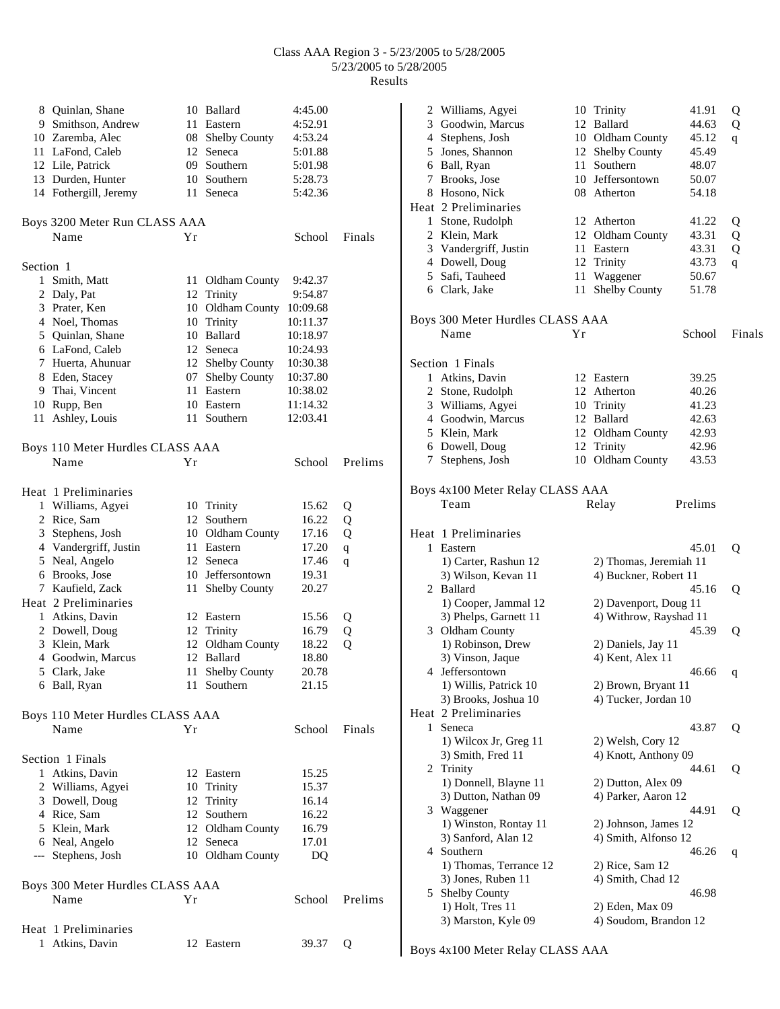|              | 8 Quinlan, Shane                 |     | 10 Ballard           | 4:45.00  |             |
|--------------|----------------------------------|-----|----------------------|----------|-------------|
|              | 9 Smithson, Andrew               | 11  | Eastern              | 4:52.91  |             |
|              | 10 Zaremba, Alec                 | 08  | <b>Shelby County</b> | 4:53.24  |             |
|              | 11 LaFond, Caleb                 | 12  | Seneca               | 5:01.88  |             |
|              | 12 Lile, Patrick                 | 09  | Southern             | 5:01.98  |             |
|              | 13 Durden, Hunter                |     | 10 Southern          | 5:28.73  |             |
|              | 14 Fothergill, Jeremy            | 11  | Seneca               | 5:42.36  |             |
|              |                                  |     |                      |          |             |
|              | Boys 3200 Meter Run CLASS AAA    |     |                      |          |             |
|              | Name                             | Υr  |                      | School   | Finals      |
|              |                                  |     |                      |          |             |
| Section 1    |                                  |     |                      |          |             |
| $\mathbf{1}$ | Smith, Matt                      |     | 11 Oldham County     | 9:42.37  |             |
|              | 2 Daly, Pat                      |     | 12 Trinity           | 9:54.87  |             |
|              | 3 Prater, Ken                    |     | 10 Oldham County     | 10:09.68 |             |
|              | 4 Noel, Thomas                   | 10  | Trinity              | 10:11.37 |             |
|              | 5 Quinlan, Shane                 | 10  | Ballard              | 10:18.97 |             |
|              | 6 LaFond, Caleb                  |     | 12 Seneca            | 10:24.93 |             |
|              | 7 Huerta, Ahunuar                |     | 12 Shelby County     | 10:30.38 |             |
|              | 8 Eden, Stacey                   |     | 07 Shelby County     | 10:37.80 |             |
|              | 9 Thai, Vincent                  | 11  | Eastern              | 10:38.02 |             |
|              | 10 Rupp, Ben                     | 10  | Eastern              | 11:14.32 |             |
| 11           | Ashley, Louis                    | 11  | Southern             | 12:03.41 |             |
|              |                                  |     |                      |          |             |
|              | Boys 110 Meter Hurdles CLASS AAA |     |                      |          |             |
|              | Name                             | Υr  |                      | School   | Prelims     |
|              |                                  |     |                      |          |             |
|              | Heat 1 Preliminaries             |     |                      |          |             |
|              | 1 Williams, Agyei                |     | 10 Trinity           | 15.62    | Q           |
|              | 2 Rice, Sam                      | 12  | Southern             | 16.22    | Q           |
|              | 3 Stephens, Josh                 |     | 10 Oldham County     | 17.16    | Q           |
|              | 4 Vandergriff, Justin            |     | 11 Eastern           | 17.20    | $\mathbf q$ |
|              | 5 Neal, Angelo                   |     | 12 Seneca            | 17.46    | q           |
|              | 6 Brooks, Jose                   | 10  | Jeffersontown        | 19.31    |             |
|              | 7 Kaufield, Zack                 | 11  | Shelby County        | 20.27    |             |
|              | Heat 2 Preliminaries             |     |                      |          |             |
|              | 1 Atkins, Davin                  |     | 12 Eastern           | 15.56    | Q           |
|              | 2 Dowell, Doug                   |     | 12 Trinity           | 16.79    | Q           |
|              | 3 Klein, Mark                    | 12  | Oldham County        | 18.22    | Q           |
|              | 4 Goodwin, Marcus                |     | 12 Ballard           | 18.80    |             |
|              | 5 Clark, Jake                    | 11. | <b>Shelby County</b> | 20.78    |             |
|              | 6 Ball, Ryan                     |     | 11 Southern          | 21.15    |             |
|              |                                  |     |                      |          |             |
|              | Boys 110 Meter Hurdles CLASS AAA |     |                      |          |             |
|              | Name                             | Υr  |                      | School   | Finals      |
|              |                                  |     |                      |          |             |
|              | Section 1 Finals                 |     |                      |          |             |
|              | 1 Atkins, Davin                  |     | 12 Eastern           | 15.25    |             |
|              | 2 Williams, Agyei                |     | 10 Trinity           | 15.37    |             |
|              | 3 Dowell, Doug                   |     | 12 Trinity           | 16.14    |             |
|              | 4 Rice, Sam                      |     | 12 Southern          | 16.22    |             |
|              | 5 Klein, Mark                    |     | 12 Oldham County     | 16.79    |             |
|              | 6 Neal, Angelo                   |     | 12 Seneca            | 17.01    |             |
|              | --- Stephens, Josh               |     | 10 Oldham County     | DQ       |             |
|              |                                  |     |                      |          |             |
|              | Boys 300 Meter Hurdles CLASS AAA |     |                      |          |             |
|              | Name                             | Υr  |                      | School   | Prelims     |
|              |                                  |     |                      |          |             |
|              | Heat 1 Preliminaries             |     |                      |          |             |
|              | 1 Atkins, Davin                  |     | 12 Eastern           | 39.37    | О           |

|   | 2 Williams, Agyei                |    | 10 Trinity             | 41.91   | Q      |
|---|----------------------------------|----|------------------------|---------|--------|
|   | 3 Goodwin, Marcus                |    | 12 Ballard             | 44.63   | Q      |
|   | 4 Stephens, Josh                 |    | 10 Oldham County       | 45.12   | q      |
|   | 5 Jones, Shannon                 |    | 12 Shelby County       | 45.49   |        |
|   | 6 Ball, Ryan                     |    | 11 Southern            | 48.07   |        |
|   | 7 Brooks, Jose                   |    | 10 Jeffersontown       | 50.07   |        |
|   | 8 Hosono, Nick                   |    | 08 Atherton            | 54.18   |        |
|   | Heat 2 Preliminaries             |    |                        |         |        |
|   |                                  |    |                        |         |        |
|   | 1 Stone, Rudolph                 |    | 12 Atherton            | 41.22   | Q      |
|   | 2 Klein, Mark                    |    | 12 Oldham County       | 43.31   | Q      |
|   | 3 Vandergriff, Justin            |    | 11 Eastern             | 43.31   | Q      |
|   | 4 Dowell, Doug                   |    | 12 Trinity             | 43.73   | q      |
|   | 5 Safi, Tauheed                  |    | 11 Waggener            | 50.67   |        |
|   | 6 Clark, Jake                    | 11 | Shelby County          | 51.78   |        |
|   | Boys 300 Meter Hurdles CLASS AAA |    |                        |         |        |
|   | Name                             | Υr |                        | School  | Finals |
|   | Section 1 Finals                 |    |                        |         |        |
|   | 1 Atkins, Davin                  |    | 12 Eastern             | 39.25   |        |
|   | 2 Stone, Rudolph                 |    | 12 Atherton            | 40.26   |        |
|   | 3 Williams, Agyei                |    |                        | 41.23   |        |
|   |                                  |    | 10 Trinity             |         |        |
|   | 4 Goodwin, Marcus                |    | 12 Ballard             | 42.63   |        |
|   | 5 Klein, Mark                    |    | 12 Oldham County       | 42.93   |        |
|   | 6 Dowell, Doug                   |    | 12 Trinity             | 42.96   |        |
| 7 | Stephens, Josh                   |    | 10 Oldham County       | 43.53   |        |
|   | Boys 4x100 Meter Relay CLASS AAA |    |                        |         |        |
|   | Team                             |    | Relay                  | Prelims |        |
|   | Heat 1 Preliminaries             |    |                        |         |        |
|   | 1 Eastern                        |    |                        | 45.01   | Q      |
|   | 1) Carter, Rashun 12             |    | 2) Thomas, Jeremiah 11 |         |        |
|   | 3) Wilson, Kevan 11              |    | 4) Buckner, Robert 11  |         |        |
|   | 2 Ballard                        |    |                        | 45.16   | Q      |
|   | 1) Cooper, Jammal 12             |    | 2) Davenport, Doug 11  |         |        |
|   | 3) Phelps, Garnett 11            |    | 4) Withrow, Rayshad 11 |         |        |
|   |                                  |    |                        |         |        |
|   | 3 Oldham County                  |    |                        | 45.39   | Q      |
|   | 1) Robinson, Drew                |    | 2) Daniels, Jay 11     |         |        |
|   | 3) Vinson, Jaque                 |    | 4) Kent, Alex 11       |         |        |
| 4 | Jeffersontown                    |    |                        | 46.66   | q      |
|   | 1) Willis, Patrick 10            |    | 2) Brown, Bryant 11    |         |        |
|   | 3) Brooks, Joshua 10             |    | 4) Tucker, Jordan 10   |         |        |
|   | Heat 2 Preliminaries             |    |                        |         |        |
| 1 | Seneca                           |    |                        | 43.87   | Q      |
|   | 1) Wilcox Jr, Greg 11            |    | 2) Welsh, Cory 12      |         |        |
|   | 3) Smith, Fred 11                |    | 4) Knott, Anthony 09   |         |        |
| 2 | Trinity                          |    |                        | 44.61   | Q      |
|   | 1) Donnell, Blayne 11            |    | 2) Dutton, Alex 09     |         |        |
|   | 3) Dutton, Nathan 09             |    | 4) Parker, Aaron 12    |         |        |
| 3 | Waggener                         |    |                        | 44.91   | Q      |
|   |                                  |    |                        |         |        |
|   | 1) Winston, Rontay 11            |    | 2) Johnson, James 12   |         |        |
|   | 3) Sanford, Alan 12              |    | 4) Smith, Alfonso 12   |         |        |
| 4 | Southern                         |    |                        | 46.26   | q      |
|   | 1) Thomas, Terrance 12           |    | 2) Rice, Sam 12        |         |        |
|   | 3) Jones, Ruben 11               |    | 4) Smith, Chad 12      |         |        |
| 5 | Shelby County                    |    |                        | 46.98   |        |
|   | 1) Holt, Tres 11                 |    | 2) Eden, Max 09        |         |        |
|   | 3) Marston, Kyle 09              |    | 4) Soudom, Brandon 12  |         |        |
|   |                                  |    |                        |         |        |

Boys 4x100 Meter Relay CLASS AAA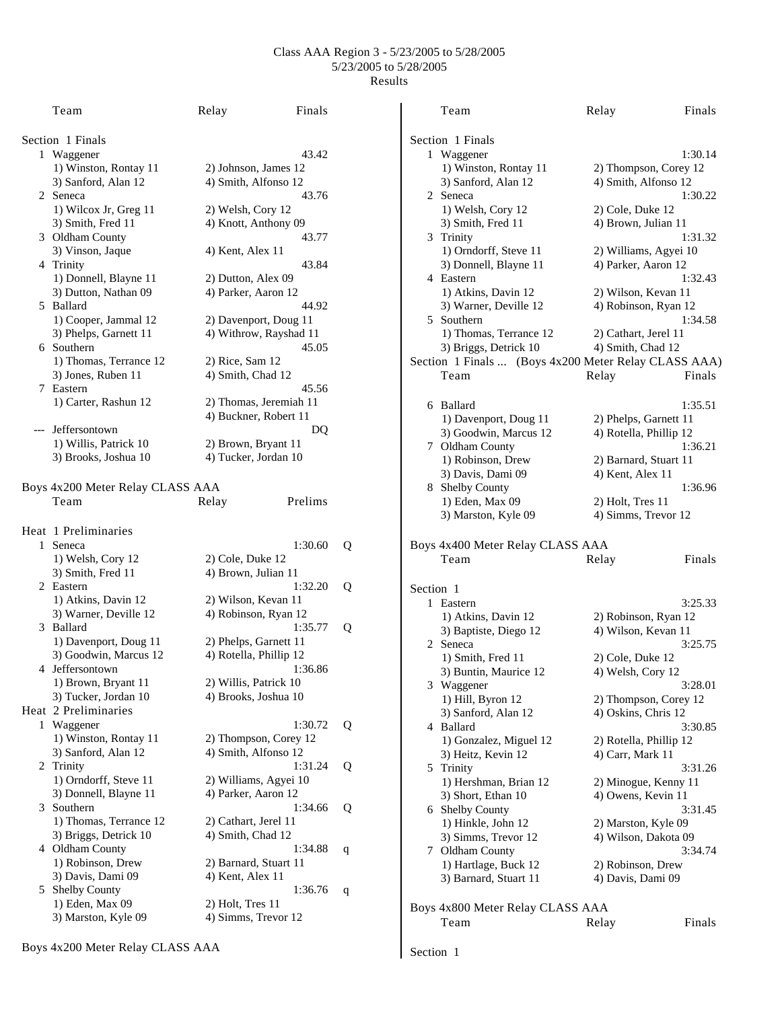|                  | Team                                       | Relay                  | Finals  |   |                     | Team                                                 | Relay                  | Finals  |  |
|------------------|--------------------------------------------|------------------------|---------|---|---------------------|------------------------------------------------------|------------------------|---------|--|
| Section 1 Finals |                                            |                        |         |   |                     | Section 1 Finals                                     |                        |         |  |
|                  | 1 Waggener                                 |                        | 43.42   |   |                     | 1 Waggener                                           |                        | 1:30.14 |  |
|                  | 1) Winston, Rontay 11                      | 2) Johnson, James 12   |         |   |                     | 1) Winston, Rontay 11                                | 2) Thompson, Corey 12  |         |  |
|                  | 3) Sanford, Alan 12                        | 4) Smith, Alfonso 12   |         |   |                     | 3) Sanford, Alan 12                                  | 4) Smith, Alfonso 12   |         |  |
|                  | 2 Seneca                                   |                        | 43.76   |   |                     | 2 Seneca                                             |                        | 1:30.22 |  |
|                  | 1) Wilcox Jr, Greg 11                      | 2) Welsh, Cory 12      |         |   |                     | 1) Welsh, Cory 12                                    | 2) Cole, Duke 12       |         |  |
|                  |                                            |                        |         |   |                     |                                                      |                        |         |  |
|                  | 3) Smith, Fred 11                          | 4) Knott, Anthony 09   |         |   |                     | 3) Smith, Fred 11                                    | 4) Brown, Julian 11    |         |  |
|                  | 3 Oldham County                            |                        | 43.77   |   |                     | 3 Trinity                                            |                        | 1:31.32 |  |
|                  | 3) Vinson, Jaque                           | 4) Kent, Alex 11       |         |   |                     | 1) Orndorff, Steve 11                                | 2) Williams, Agyei 10  |         |  |
|                  | 4 Trinity                                  |                        | 43.84   |   |                     | 3) Donnell, Blayne 11                                | 4) Parker, Aaron 12    |         |  |
|                  | 1) Donnell, Blayne 11                      | 2) Dutton, Alex 09     |         |   |                     | 4 Eastern                                            |                        | 1:32.43 |  |
|                  | 3) Dutton, Nathan 09                       | 4) Parker, Aaron 12    |         |   |                     | 1) Atkins, Davin 12                                  | 2) Wilson, Kevan 11    |         |  |
|                  | 5 Ballard                                  |                        | 44.92   |   |                     | 3) Warner, Deville 12                                | 4) Robinson, Ryan 12   |         |  |
|                  | 1) Cooper, Jammal 12                       | 2) Davenport, Doug 11  |         |   |                     | 5 Southern                                           |                        | 1:34.58 |  |
|                  | 3) Phelps, Garnett 11                      | 4) Withrow, Rayshad 11 |         |   |                     | 1) Thomas, Terrance 12                               | 2) Cathart, Jerel 11   |         |  |
|                  | 6 Southern                                 |                        | 45.05   |   |                     | 3) Briggs, Detrick 10                                | 4) Smith, Chad 12      |         |  |
|                  | 1) Thomas, Terrance 12                     | 2) Rice, Sam 12        |         |   |                     |                                                      |                        |         |  |
|                  |                                            |                        |         |   |                     | Section 1 Finals  (Boys 4x200 Meter Relay CLASS AAA) |                        |         |  |
|                  | 3) Jones, Ruben 11                         | 4) Smith, Chad 12      |         |   |                     | Team                                                 | Relay                  | Finals  |  |
|                  | 7 Eastern                                  |                        | 45.56   |   |                     |                                                      |                        |         |  |
|                  | 1) Carter, Rashun 12                       | 2) Thomas, Jeremiah 11 |         |   |                     | 6 Ballard                                            |                        | 1:35.51 |  |
|                  |                                            | 4) Buckner, Robert 11  |         |   |                     | 1) Davenport, Doug 11                                | 2) Phelps, Garnett 11  |         |  |
|                  | --- Jeffersontown                          |                        | DQ      |   |                     | 3) Goodwin, Marcus 12                                | 4) Rotella, Phillip 12 |         |  |
|                  | 1) Willis, Patrick 10                      | 2) Brown, Bryant 11    |         |   |                     | 7 Oldham County                                      |                        | 1:36.21 |  |
|                  | 3) Brooks, Joshua 10                       | 4) Tucker, Jordan 10   |         |   |                     | 1) Robinson, Drew                                    | 2) Barnard, Stuart 11  |         |  |
|                  |                                            |                        |         |   |                     |                                                      |                        |         |  |
|                  |                                            |                        |         |   |                     | 3) Davis, Dami 09                                    | 4) Kent, Alex 11       |         |  |
|                  | Boys 4x200 Meter Relay CLASS AAA           |                        |         |   |                     | 8 Shelby County                                      |                        | 1:36.96 |  |
|                  | Team                                       | Relay                  | Prelims |   |                     | 1) Eden, Max 09                                      | 2) Holt, Tres 11       |         |  |
|                  |                                            |                        |         |   |                     | 3) Marston, Kyle 09                                  | 4) Simms, Trevor 12    |         |  |
|                  | Heat 1 Preliminaries                       |                        |         |   |                     |                                                      |                        |         |  |
|                  | 1 Seneca                                   |                        | 1:30.60 | Q |                     | Boys 4x400 Meter Relay CLASS AAA                     |                        |         |  |
|                  | 1) Welsh, Cory 12                          | 2) Cole, Duke 12       |         |   |                     | Team                                                 | Relay                  | Finals  |  |
|                  | 3) Smith, Fred 11                          | 4) Brown, Julian 11    |         |   |                     |                                                      |                        |         |  |
|                  | 2 Eastern                                  |                        | 1:32.20 | Q |                     |                                                      |                        |         |  |
|                  | 1) Atkins, Davin 12                        | 2) Wilson, Kevan 11    |         |   | Section 1           |                                                      |                        |         |  |
|                  | 3) Warner, Deville 12                      | 4) Robinson, Ryan 12   |         |   |                     | 1 Eastern                                            |                        | 3:25.33 |  |
|                  |                                            |                        |         |   |                     | 1) Atkins, Davin 12                                  | 2) Robinson, Ryan 12   |         |  |
|                  | 3 Ballard                                  |                        | 1:35.77 | Q |                     | 3) Baptiste, Diego 12                                | 4) Wilson, Kevan 11    |         |  |
|                  | 1) Davenport, Doug 11                      | 2) Phelps, Garnett 11  |         |   |                     | 2 Seneca                                             |                        | 3:25.75 |  |
|                  | 3) Goodwin, Marcus 12                      | 4) Rotella, Phillip 12 |         |   |                     | 1) Smith, Fred 11                                    | 2) Cole, Duke 12       |         |  |
|                  | 4 Jeffersontown                            |                        | 1:36.86 |   |                     | 3) Buntin, Maurice 12                                | 4) Welsh, Cory 12      |         |  |
|                  | 1) Brown, Bryant 11                        | 2) Willis, Patrick 10  |         |   |                     | 3 Waggener                                           |                        | 3:28.01 |  |
|                  | 3) Tucker, Jordan 10                       | 4) Brooks, Joshua 10   |         |   |                     | 1) Hill, Byron 12                                    | 2) Thompson, Corey 12  |         |  |
|                  | Heat 2 Preliminaries                       |                        |         |   |                     | 3) Sanford, Alan 12                                  | 4) Oskins, Chris 12    |         |  |
|                  | 1 Waggener                                 |                        | 1:30.72 | Q |                     | 4 Ballard                                            |                        | 3:30.85 |  |
|                  | 1) Winston, Rontay 11                      | 2) Thompson, Corey 12  |         |   |                     |                                                      |                        |         |  |
|                  | 3) Sanford, Alan 12                        | 4) Smith, Alfonso 12   |         |   |                     | 1) Gonzalez, Miguel 12                               | 2) Rotella, Phillip 12 |         |  |
|                  |                                            |                        |         |   |                     | 3) Heitz, Kevin 12                                   | 4) Carr, Mark 11       |         |  |
|                  | 2 Trinity                                  |                        | 1:31.24 | Q |                     | 5 Trinity                                            |                        | 3:31.26 |  |
|                  | 1) Orndorff, Steve 11                      | 2) Williams, Agyei 10  |         |   |                     | 1) Hershman, Brian 12                                | 2) Minogue, Kenny 11   |         |  |
|                  | 3) Donnell, Blayne 11                      | 4) Parker, Aaron 12    |         |   |                     | 3) Short, Ethan 10                                   | 4) Owens, Kevin 11     |         |  |
|                  | 3 Southern                                 |                        | 1:34.66 | Q |                     | 6 Shelby County                                      |                        | 3:31.45 |  |
|                  | 1) Thomas, Terrance 12                     | 2) Cathart, Jerel 11   |         |   |                     | 1) Hinkle, John 12                                   | 2) Marston, Kyle 09    |         |  |
|                  | 3) Briggs, Detrick 10<br>4) Smith, Chad 12 |                        |         |   | 3) Simms, Trevor 12 | 4) Wilson, Dakota 09                                 |                        |         |  |
|                  | 4 Oldham County                            |                        | 1:34.88 | q |                     | 7 Oldham County                                      |                        | 3:34.74 |  |
|                  | 1) Robinson, Drew                          | 2) Barnard, Stuart 11  |         |   |                     | 1) Hartlage, Buck 12                                 | 2) Robinson, Drew      |         |  |
|                  | 3) Davis, Dami 09                          | 4) Kent, Alex 11       |         |   |                     | 3) Barnard, Stuart 11                                | 4) Davis, Dami 09      |         |  |
|                  | 5 Shelby County                            |                        | 1:36.76 |   |                     |                                                      |                        |         |  |
|                  | 1) Eden, Max 09                            |                        |         | q |                     |                                                      |                        |         |  |
|                  |                                            | $2)$ Holt, Tres 11     |         |   |                     | Boys 4x800 Meter Relay CLASS AAA                     |                        |         |  |
|                  | 3) Marston, Kyle 09                        | 4) Simms, Trevor 12    |         |   |                     | Team                                                 | Relay                  | Finals  |  |

Section 1